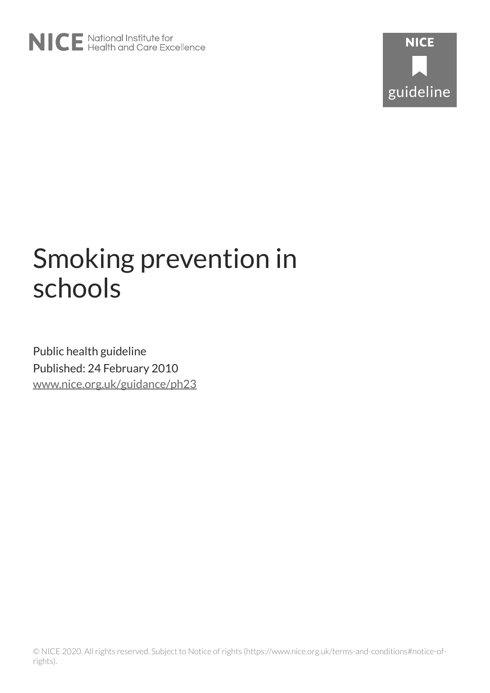

# Smoking prevention in schools

Public health guideline Published: 24 February 2010 [www.nice.org.uk/guidance/ph23](https://www.nice.org.uk/guidance/ph23)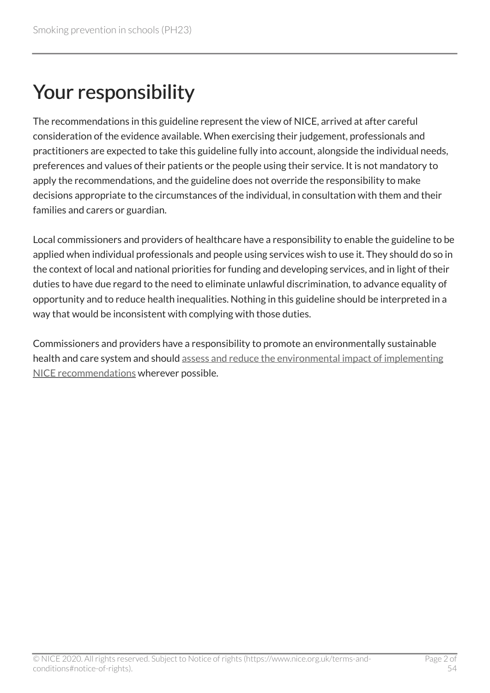# Your responsibility

The recommendations in this guideline represent the view of NICE, arrived at after careful consideration of the evidence available. When exercising their judgement, professionals and practitioners are expected to take this guideline fully into account, alongside the individual needs, preferences and values of their patients or the people using their service. It is not mandatory to apply the recommendations, and the guideline does not override the responsibility to make decisions appropriate to the circumstances of the individual, in consultation with them and their families and carers or guardian.

Local commissioners and providers of healthcare have a responsibility to enable the guideline to be applied when individual professionals and people using services wish to use it. They should do so in the context of local and national priorities for funding and developing services, and in light of their duties to have due regard to the need to eliminate unlawful discrimination, to advance equality of opportunity and to reduce health inequalities. Nothing in this guideline should be interpreted in a way that would be inconsistent with complying with those duties.

Commissioners and providers have a responsibility to promote an environmentally sustainable health and care system and should [assess and reduce the environmental impact of implementing](https://www.nice.org.uk/about/who-we-are/sustainability)  [NICE recommendations](https://www.nice.org.uk/about/who-we-are/sustainability) wherever possible.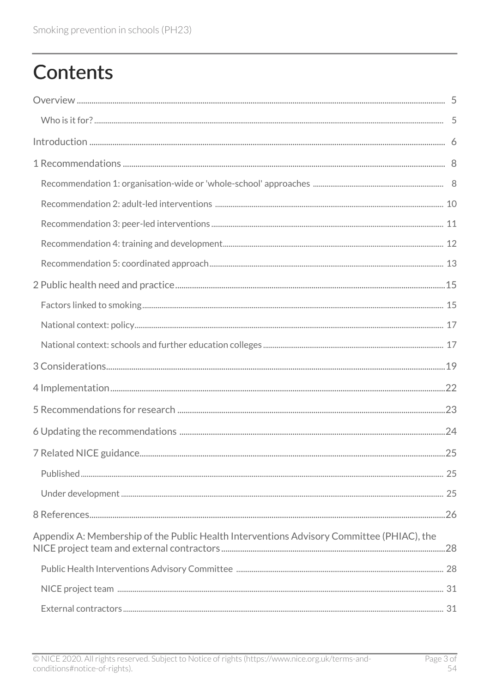# **Contents**

| Appendix A: Membership of the Public Health Interventions Advisory Committee (PHIAC), the |  |
|-------------------------------------------------------------------------------------------|--|
|                                                                                           |  |
|                                                                                           |  |
|                                                                                           |  |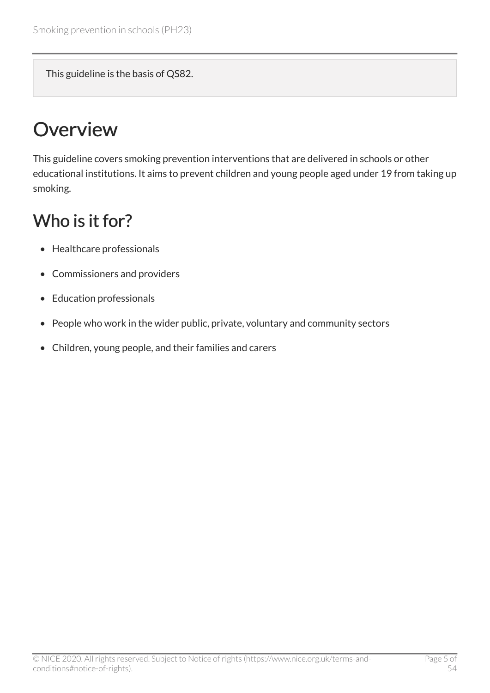This guideline is the basis of QS82.

# <span id="page-4-0"></span>**Overview**

This guideline covers smoking prevention interventions that are delivered in schools or other educational institutions. It aims to prevent children and young people aged under 19 from taking up smoking.

### <span id="page-4-1"></span>Who is it for?

- Healthcare professionals
- Commissioners and providers
- Education professionals
- People who work in the wider public, private, voluntary and community sectors
- Children, young people, and their families and carers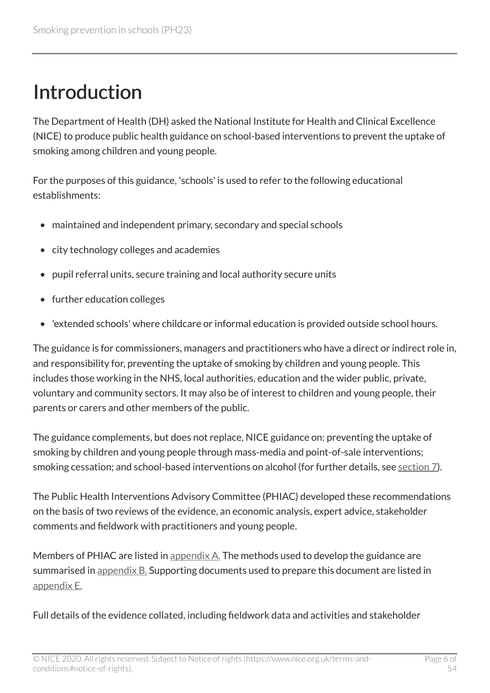# <span id="page-5-0"></span>Introduction

The Department of Health (DH) asked the National Institute for Health and Clinical Excellence (NICE) to produce public health guidance on school-based interventions to prevent the uptake of smoking among children and young people.

For the purposes of this guidance, 'schools' is used to refer to the following educational establishments:

- maintained and independent primary, secondary and special schools
- city technology colleges and academies
- pupil referral units, secure training and local authority secure units
- further education colleges
- 'extended schools' where childcare or informal education is provided outside school hours.

The guidance is for commissioners, managers and practitioners who have a direct or indirect role in, and responsibility for, preventing the uptake of smoking by children and young people. This includes those working in the NHS, local authorities, education and the wider public, private, voluntary and community sectors. It may also be of interest to children and young people, their parents or carers and other members of the public.

The guidance complements, but does not replace, NICE guidance on: preventing the uptake of smoking by children and young people through mass-media and point-of-sale interventions; smoking cessation; and school-based interventions on alcohol (for further details, see [section 7](http://www.nice.org.uk/guidance/ph23/chapter/related-nice-guidance)).

The Public Health Interventions Advisory Committee (PHIAC) developed these recommendations on the basis of two reviews of the evidence, an economic analysis, expert advice, stakeholder comments and fieldwork with practitioners and young people.

Members of PHIAC are listed in [appendix A.](http://www.nice.org.uk/guidance/ph23/chapter/appendix-a-membership-of-the-public-health-interventions-advisory-committee-phiac-the-nice) The methods used to develop the guidance are summarised in appendix  $B$ . Supporting documents used to prepare this document are listed in [appendix E.](http://www.nice.org.uk/guidance/ph23/chapter/appendix-e-supporting-documents) 

Full details of the evidence collated, including fieldwork data and activities and stakeholder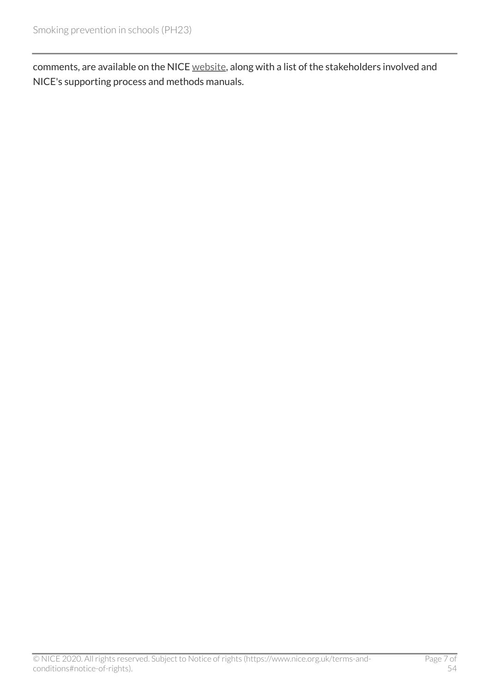comments, are available on the NICE [website,](http://www.nice.org.uk/guidance/ph23) along with a list of the stakeholders involved and NICE's supporting process and methods manuals.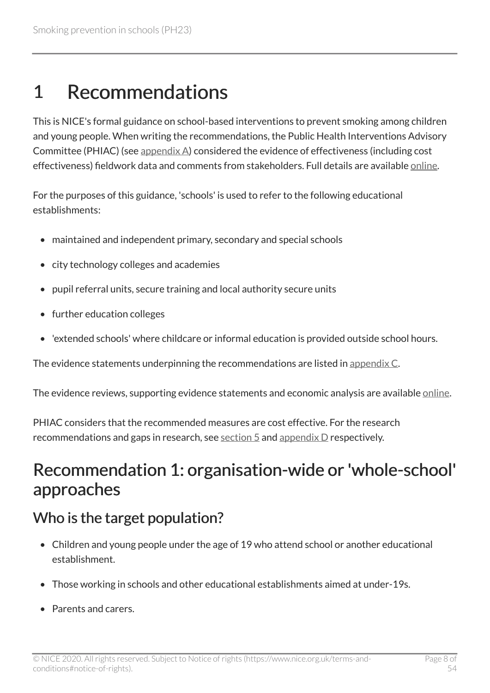## <span id="page-7-0"></span>1 Recommendations

This is NICE's formal guidance on school-based interventions to prevent smoking among children and young people. When writing the recommendations, the Public Health Interventions Advisory Committee (PHIAC) (see [appendix A\)](http://www.nice.org.uk/guidance/ph23/chapter/appendix-a-membership-of-the-public-health-interventions-advisory-committee-phiac-the-nice) considered the evidence of effectiveness (including cost effectiveness) fieldwork data and comments from stakeholders. Full details are available [online](http://www.nice.org.uk/guidance/ph23).

For the purposes of this guidance, 'schools' is used to refer to the following educational establishments:

- maintained and independent primary, secondary and special schools
- city technology colleges and academies
- pupil referral units, secure training and local authority secure units
- further education colleges
- 'extended schools' where childcare or informal education is provided outside school hours.

The evidence statements underpinning the recommendations are listed in [appendix C.](http://www.nice.org.uk/guidance/ph23/chapter/appendix-c-the-evidence)

The evidence reviews, supporting evidence statements and economic analysis are available [online](http://www.nice.org.uk/guidance/ph23).

PHIAC considers that the recommended measures are cost effective. For the research recommendations and gaps in research, see [section 5](http://www.nice.org.uk/guidance/ph23/chapter/recommendations-for-research) and [appendix D](http://www.nice.org.uk/guidance/ph23/chapter/appendix-d-gaps-in-the-evidence) respectively.

### <span id="page-7-1"></span>Recommendation 1: organisation-wide or 'whole-school' approaches

### Who is the target population?

- Children and young people under the age of 19 who attend school or another educational establishment.
- Those working in schools and other educational establishments aimed at under-19s.
- Parents and carers.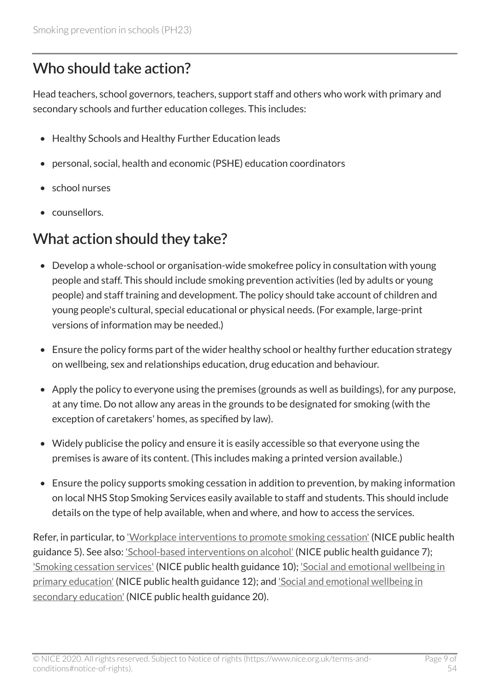#### Who should take action?

Head teachers, school governors, teachers, support staff and others who work with primary and secondary schools and further education colleges. This includes:

- Healthy Schools and Healthy Further Education leads
- personal, social, health and economic (PSHE) education coordinators
- school nurses
- counsellors.

#### What action should they take?

- Develop a whole-school or organisation-wide smokefree policy in consultation with young people and staff. This should include smoking prevention activities (led by adults or young people) and staff training and development. The policy should take account of children and young people's cultural, special educational or physical needs. (For example, large-print versions of information may be needed.)
- Ensure the policy forms part of the wider healthy school or healthy further education strategy on wellbeing, sex and relationships education, drug education and behaviour.
- Apply the policy to everyone using the premises (grounds as well as buildings), for any purpose, at any time. Do not allow any areas in the grounds to be designated for smoking (with the exception of caretakers' homes, as specified by law).
- Widely publicise the policy and ensure it is easily accessible so that everyone using the premises is aware of its content. (This includes making a printed version available.)
- Ensure the policy supports smoking cessation in addition to prevention, by making information on local NHS Stop Smoking Services easily available to staff and students. This should include details on the type of help available, when and where, and how to access the services.

Refer, in particular, to ['Workplace interventions to promote smoking cessation'](http://www.nice.org.uk/guidance/ph5) (NICE public health guidance 5). See also: *['School-based interventions on alcohol'](http://www.nice.org.uk/guidance/ph7)* (NICE public health guidance 7); ['Smoking cessation services'](http://www.nice.org.uk/guidance/ph10) (NICE public health guidance 10); ['Social and emotional wellbeing in](http://www.nice.org.uk/guidance/ph12)  [primary education'](http://www.nice.org.uk/guidance/ph12) (NICE public health guidance 12); and 'Social and emotional wellbeing in [secondary education'](http://www.nice.org.uk/guidance/ph20) (NICE public health guidance 20).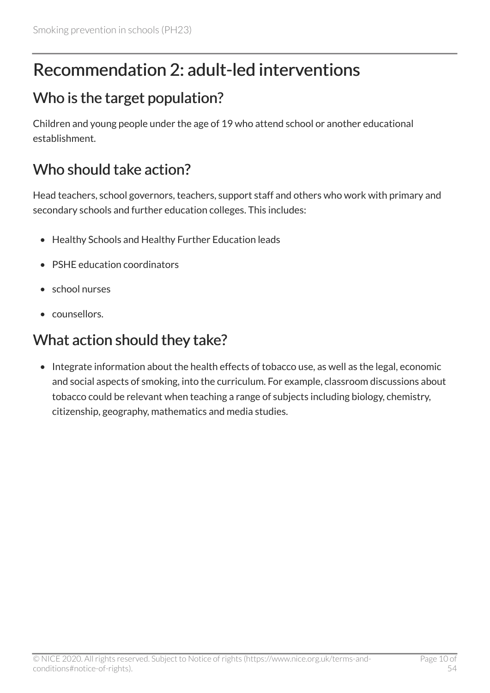### <span id="page-9-0"></span>Recommendation 2: adult-led interventions

### Who is the target population?

Children and young people under the age of 19 who attend school or another educational establishment.

### Who should take action?

Head teachers, school governors, teachers, support staff and others who work with primary and secondary schools and further education colleges. This includes:

- Healthy Schools and Healthy Further Education leads
- PSHE education coordinators
- school nurses
- counsellors.

### What action should they take?

• Integrate information about the health effects of tobacco use, as well as the legal, economic and social aspects of smoking, into the curriculum. For example, classroom discussions about tobacco could be relevant when teaching a range of subjects including biology, chemistry, citizenship, geography, mathematics and media studies.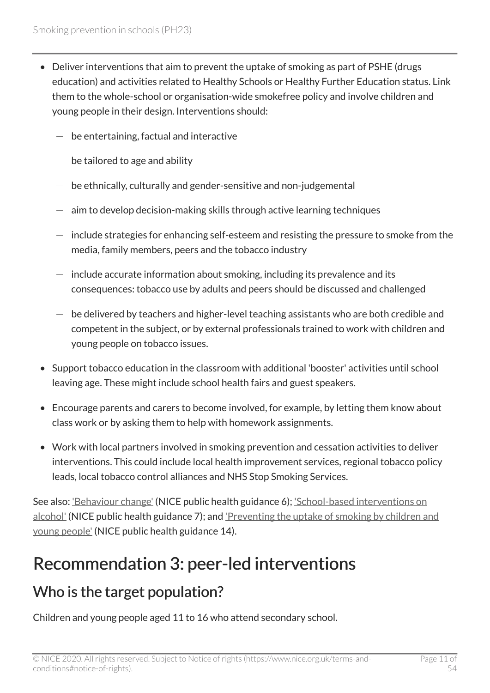- Deliver interventions that aim to prevent the uptake of smoking as part of PSHE (drugs education) and activities related to Healthy Schools or Healthy Further Education status. Link them to the whole-school or organisation-wide smokefree policy and involve children and young people in their design. Interventions should:
	- be entertaining, factual and interactive
	- $-$  be tailored to age and ability
	- $-$  be ethnically, culturally and gender-sensitive and non-judgemental
	- aim to develop decision-making skills through active learning techniques
	- $-$  include strategies for enhancing self-esteem and resisting the pressure to smoke from the media, family members, peers and the tobacco industry
	- include accurate information about smoking, including its prevalence and its consequences: tobacco use by adults and peers should be discussed and challenged
	- $-$  be delivered by teachers and higher-level teaching assistants who are both credible and competent in the subject, or by external professionals trained to work with children and young people on tobacco issues.
- Support tobacco education in the classroom with additional 'booster' activities until school leaving age. These might include school health fairs and guest speakers.
- Encourage parents and carers to become involved, for example, by letting them know about class work or by asking them to help with homework assignments.
- Work with local partners involved in smoking prevention and cessation activities to deliver interventions. This could include local health improvement services, regional tobacco policy leads, local tobacco control alliances and NHS Stop Smoking Services.

See also: <u>['Behaviour change'](http://www.nice.org.uk/guidance/ph6)</u> (NICE public health guidance 6); <u>'School-based interventions on</u> [alcohol'](http://www.nice.org.uk/guidance/ph7) (NICE public health guidance 7); and ['Preventing the uptake of smoking by children and](http://www.nice.org.uk/guidance/ph14) [young people'](http://www.nice.org.uk/guidance/ph14) (NICE public health guidance 14).

### <span id="page-10-0"></span>Recommendation 3: peer-led interventions

#### Who is the target population?

Children and young people aged 11 to 16 who attend secondary school.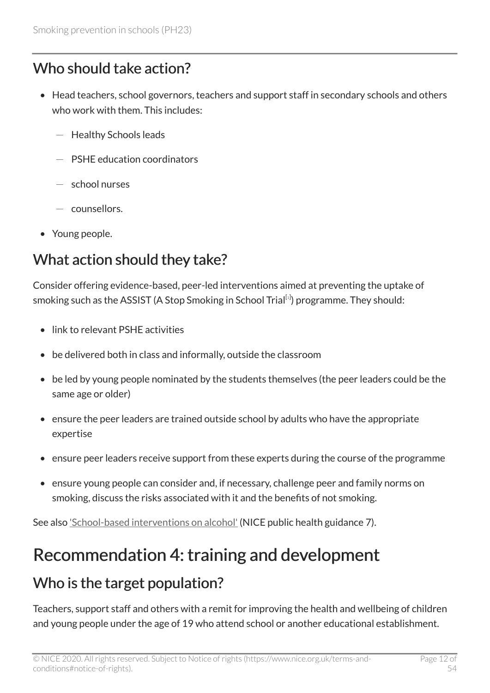#### Who should take action?

- Head teachers, school governors, teachers and support staff in secondary schools and others who work with them. This includes:
	- Healthy Schools leads
	- PSHE education coordinators
	- $-$  school nurses
	- counsellors.
- Young people.

### What action should they take?

<span id="page-11-1"></span>Consider offering evidence-based, peer-led interventions aimed at preventing the uptake of smoking such as the ASSIST (A Stop Smoking in School Trial $^{\left[ \text{\tiny{[1]}} \right]}$  $^{\left[ \text{\tiny{[1]}} \right]}$  $^{\left[ \text{\tiny{[1]}} \right]}$  programme. They should:

- link to relevant PSHE activities
- be delivered both in class and informally, outside the classroom
- be led by young people nominated by the students themselves (the peer leaders could be the same age or older)
- ensure the peer leaders are trained outside school by adults who have the appropriate expertise
- ensure peer leaders receive support from these experts during the course of the programme
- ensure young people can consider and, if necessary, challenge peer and family norms on smoking, discuss the risks associated with it and the benefits of not smoking.

See also ['School-based interventions on alcohol'](http://www.nice.org.uk/guidance/ph7) (NICE public health guidance 7).

### <span id="page-11-0"></span>Recommendation 4: training and development

### Who is the target population?

Teachers, support staff and others with a remit for improving the health and wellbeing of children and young people under the age of 19 who attend school or another educational establishment.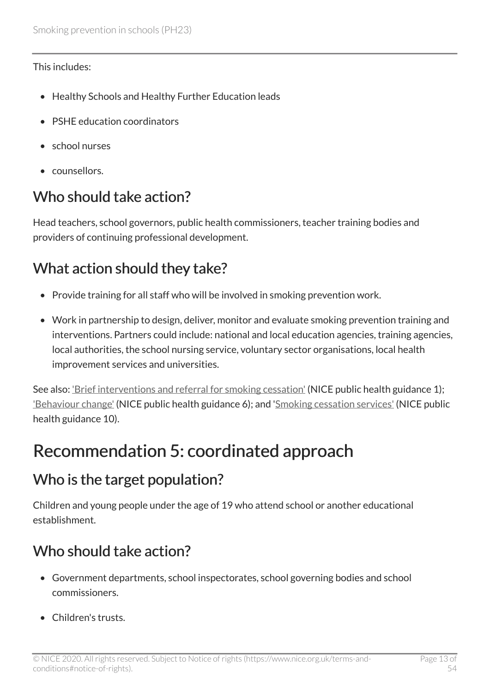#### This includes:

- Healthy Schools and Healthy Further Education leads
- PSHE education coordinators
- school nurses
- counsellors.

### Who should take action?

Head teachers, school governors, public health commissioners, teacher training bodies and providers of continuing professional development.

### What action should they take?

- Provide training for all staff who will be involved in smoking prevention work.
- Work in partnership to design, deliver, monitor and evaluate smoking prevention training and interventions. Partners could include: national and local education agencies, training agencies, local authorities, the school nursing service, voluntary sector organisations, local health improvement services and universities.

See also: ['Brief interventions and referral for smoking cessation'](http://www.nice.org.uk/guidance/ph1) (NICE public health guidance 1); ['Behaviour change'](http://www.nice.org.uk/guidance/ph6) (NICE public health guidance 6); and '[Smoking cessation services'](http://www.nice.org.uk/guidance/ph10) (NICE public health guidance 10).

### <span id="page-12-0"></span>Recommendation 5: coordinated approach

### Who is the target population?

Children and young people under the age of 19 who attend school or another educational establishment.

### Who should take action?

- Government departments, school inspectorates, school governing bodies and school commissioners.
- Children's trusts.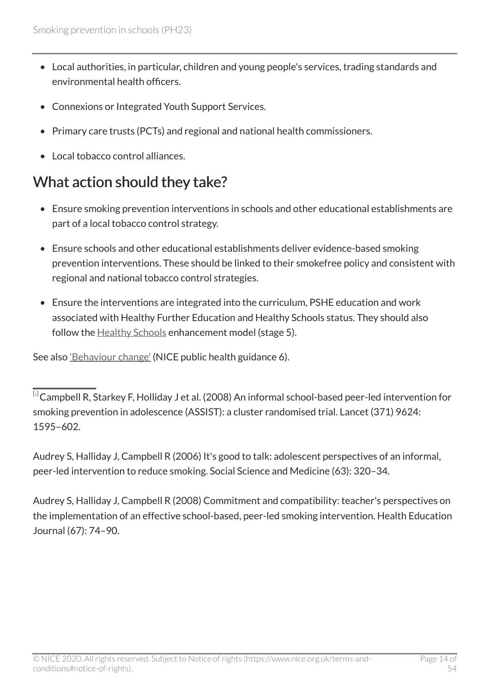- Local authorities, in particular, children and young people's services, trading standards and environmental health officers.
- Connexions or Integrated Youth Support Services.
- Primary care trusts (PCTs) and regional and national health commissioners.
- Local tobacco control alliances.

### What action should they take?

- Ensure smoking prevention interventions in schools and other educational establishments are part of a local tobacco control strategy.
- Ensure schools and other educational establishments deliver evidence-based smoking prevention interventions. These should be linked to their smokefree policy and consistent with regional and national tobacco control strategies.
- Ensure the interventions are integrated into the curriculum, PSHE education and work associated with Healthy Further Education and Healthy Schools status. They should also follow the **Healthy Schools** enhancement model (stage 5).

See also ['Behaviour change'](http://www.nice.org.uk/guidance/ph6) (NICE public health guidance 6).

Audrey S, Halliday J, Campbell R (2006) It's good to talk: adolescent perspectives of an informal, peer-led intervention to reduce smoking. Social Science and Medicine (63): 320–34.

Audrey S, Halliday J, Campbell R (2008) Commitment and compatibility: teacher's perspectives on the implementation of an effective school-based, peer-led smoking intervention. Health Education Journal (67): 74–90.

<span id="page-13-0"></span> $\overline{^{[1]}}$  $\overline{^{[1]}}$  $\overline{^{[1]}}$ Campbell R, Starkey F, Holliday J et al. (2008) An informal school-based peer-led intervention for smoking prevention in adolescence (ASSIST): a cluster randomised trial. Lancet (371) 9624: 1595–602.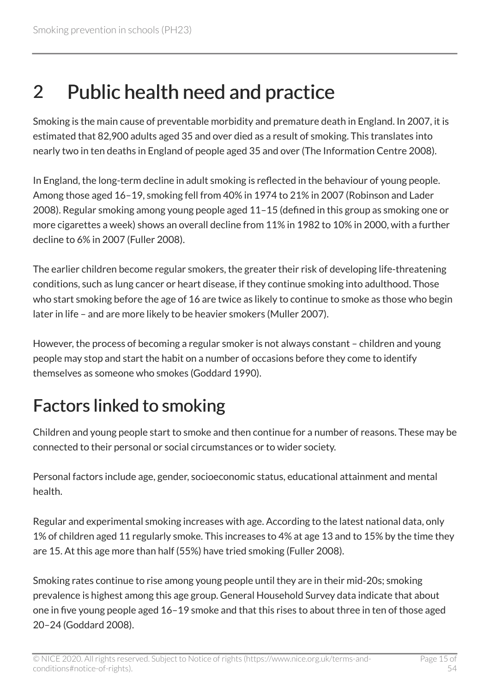# <span id="page-14-0"></span>2 Public health need and practice

Smoking is the main cause of preventable morbidity and premature death in England. In 2007, it is estimated that 82,900 adults aged 35 and over died as a result of smoking. This translates into nearly two in ten deaths in England of people aged 35 and over (The Information Centre 2008).

In England, the long-term decline in adult smoking is reflected in the behaviour of young people. Among those aged 16–19, smoking fell from 40% in 1974 to 21% in 2007 (Robinson and Lader 2008). Regular smoking among young people aged 11–15 (defined in this group as smoking one or more cigarettes a week) shows an overall decline from 11% in 1982 to 10% in 2000, with a further decline to 6% in 2007 (Fuller 2008).

The earlier children become regular smokers, the greater their risk of developing life-threatening conditions, such as lung cancer or heart disease, if they continue smoking into adulthood. Those who start smoking before the age of 16 are twice as likely to continue to smoke as those who begin later in life – and are more likely to be heavier smokers (Muller 2007).

However, the process of becoming a regular smoker is not always constant – children and young people may stop and start the habit on a number of occasions before they come to identify themselves as someone who smokes (Goddard 1990).

# <span id="page-14-1"></span>Factors linked to smoking

Children and young people start to smoke and then continue for a number of reasons. These may be connected to their personal or social circumstances or to wider society.

Personal factors include age, gender, socioeconomic status, educational attainment and mental health.

Regular and experimental smoking increases with age. According to the latest national data, only 1% of children aged 11 regularly smoke. This increases to 4% at age 13 and to 15% by the time they are 15. At this age more than half (55%) have tried smoking (Fuller 2008).

Smoking rates continue to rise among young people until they are in their mid-20s; smoking prevalence is highest among this age group. General Household Survey data indicate that about one in five young people aged 16–19 smoke and that this rises to about three in ten of those aged 20–24 (Goddard 2008).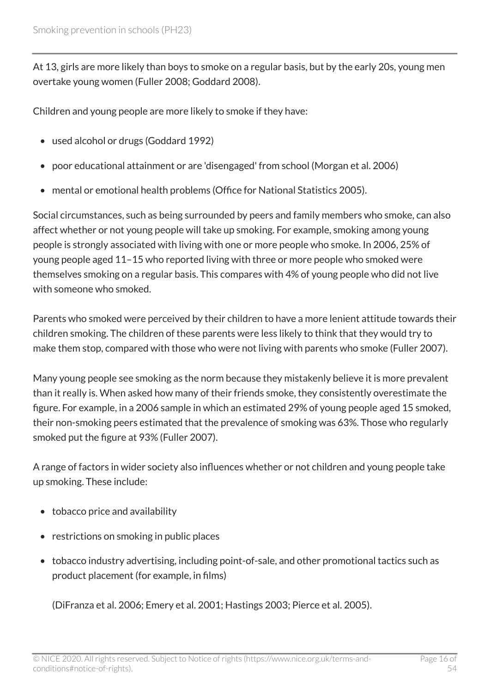At 13, girls are more likely than boys to smoke on a regular basis, but by the early 20s, young men overtake young women (Fuller 2008; Goddard 2008).

Children and young people are more likely to smoke if they have:

- used alcohol or drugs (Goddard 1992)
- poor educational attainment or are 'disengaged' from school (Morgan et al. 2006)
- mental or emotional health problems (Office for National Statistics 2005).

Social circumstances, such as being surrounded by peers and family members who smoke, can also affect whether or not young people will take up smoking. For example, smoking among young people is strongly associated with living with one or more people who smoke. In 2006, 25% of young people aged 11–15 who reported living with three or more people who smoked were themselves smoking on a regular basis. This compares with 4% of young people who did not live with someone who smoked.

Parents who smoked were perceived by their children to have a more lenient attitude towards their children smoking. The children of these parents were less likely to think that they would try to make them stop, compared with those who were not living with parents who smoke (Fuller 2007).

Many young people see smoking as the norm because they mistakenly believe it is more prevalent than it really is. When asked how many of their friends smoke, they consistently overestimate the figure. For example, in a 2006 sample in which an estimated 29% of young people aged 15 smoked, their non-smoking peers estimated that the prevalence of smoking was 63%. Those who regularly smoked put the figure at 93% (Fuller 2007).

A range of factors in wider society also influences whether or not children and young people take up smoking. These include:

- tobacco price and availability
- restrictions on smoking in public places
- tobacco industry advertising, including point-of-sale, and other promotional tactics such as product placement (for example, in films)

(DiFranza et al. 2006; Emery et al. 2001; Hastings 2003; Pierce et al. 2005).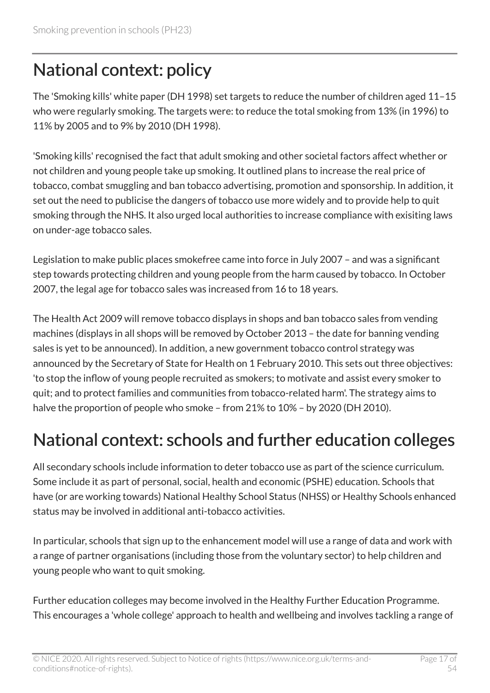### <span id="page-16-0"></span>National context: policy

The 'Smoking kills' white paper (DH 1998) set targets to reduce the number of children aged 11–15 who were regularly smoking. The targets were: to reduce the total smoking from 13% (in 1996) to 11% by 2005 and to 9% by 2010 (DH 1998).

'Smoking kills' recognised the fact that adult smoking and other societal factors affect whether or not children and young people take up smoking. It outlined plans to increase the real price of tobacco, combat smuggling and ban tobacco advertising, promotion and sponsorship. In addition, it set out the need to publicise the dangers of tobacco use more widely and to provide help to quit smoking through the NHS. It also urged local authorities to increase compliance with exisiting laws on under-age tobacco sales.

Legislation to make public places smokefree came into force in July 2007 – and was a significant step towards protecting children and young people from the harm caused by tobacco. In October 2007, the legal age for tobacco sales was increased from 16 to 18 years.

The Health Act 2009 will remove tobacco displays in shops and ban tobacco sales from vending machines (displays in all shops will be removed by October 2013 – the date for banning vending sales is yet to be announced). In addition, a new government tobacco control strategy was announced by the Secretary of State for Health on 1 February 2010. This sets out three objectives: 'to stop the inflow of young people recruited as smokers; to motivate and assist every smoker to quit; and to protect families and communities from tobacco-related harm'. The strategy aims to halve the proportion of people who smoke – from 21% to 10% – by 2020 (DH 2010).

### <span id="page-16-1"></span>National context: schools and further education colleges

All secondary schools include information to deter tobacco use as part of the science curriculum. Some include it as part of personal, social, health and economic (PSHE) education. Schools that have (or are working towards) National Healthy School Status (NHSS) or Healthy Schools enhanced status may be involved in additional anti-tobacco activities.

In particular, schools that sign up to the enhancement model will use a range of data and work with a range of partner organisations (including those from the voluntary sector) to help children and young people who want to quit smoking.

Further education colleges may become involved in the Healthy Further Education Programme. This encourages a 'whole college' approach to health and wellbeing and involves tackling a range of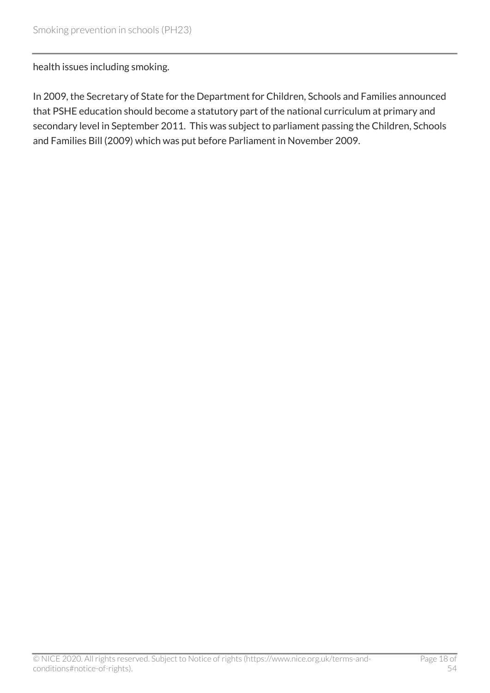health issues including smoking.

In 2009, the Secretary of State for the Department for Children, Schools and Families announced that PSHE education should become a statutory part of the national curriculum at primary and secondary level in September 2011. This was subject to parliament passing the Children, Schools and Families Bill (2009) which was put before Parliament in November 2009.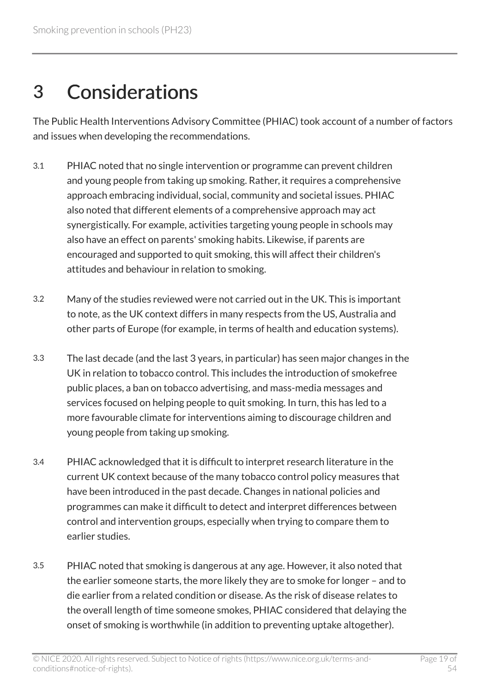# <span id="page-18-0"></span>3 Considerations

The Public Health Interventions Advisory Committee (PHIAC) took account of a number of factors and issues when developing the recommendations.

- 3.1 PHIAC noted that no single intervention or programme can prevent children and young people from taking up smoking. Rather, it requires a comprehensive approach embracing individual, social, community and societal issues. PHIAC also noted that different elements of a comprehensive approach may act synergistically. For example, activities targeting young people in schools may also have an effect on parents' smoking habits. Likewise, if parents are encouraged and supported to quit smoking, this will affect their children's attitudes and behaviour in relation to smoking.
- 3.2 Many of the studies reviewed were not carried out in the UK. This is important to note, as the UK context differs in many respects from the US, Australia and other parts of Europe (for example, in terms of health and education systems).
- 3.3 The last decade (and the last 3 years, in particular) has seen major changes in the UK in relation to tobacco control. This includes the introduction of smokefree public places, a ban on tobacco advertising, and mass-media messages and services focused on helping people to quit smoking. In turn, this has led to a more favourable climate for interventions aiming to discourage children and young people from taking up smoking.
- 3.4 PHIAC acknowledged that it is difficult to interpret research literature in the current UK context because of the many tobacco control policy measures that have been introduced in the past decade. Changes in national policies and programmes can make it difficult to detect and interpret differences between control and intervention groups, especially when trying to compare them to earlier studies.
- 3.5 PHIAC noted that smoking is dangerous at any age. However, it also noted that the earlier someone starts, the more likely they are to smoke for longer – and to die earlier from a related condition or disease. As the risk of disease relates to the overall length of time someone smokes, PHIAC considered that delaying the onset of smoking is worthwhile (in addition to preventing uptake altogether).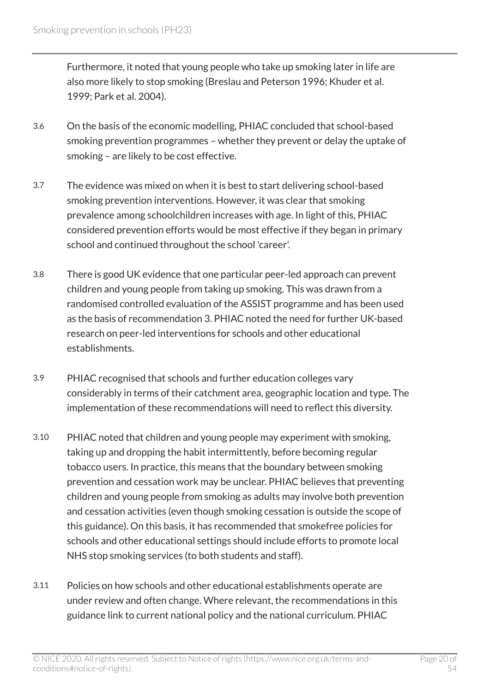Furthermore, it noted that young people who take up smoking later in life are also more likely to stop smoking (Breslau and Peterson 1996; Khuder et al. 1999; Park et al. 2004).

- 3.6 On the basis of the economic modelling, PHIAC concluded that school-based smoking prevention programmes – whether they prevent or delay the uptake of smoking – are likely to be cost effective.
- 3.7 The evidence was mixed on when it is best to start delivering school-based smoking prevention interventions. However, it was clear that smoking prevalence among schoolchildren increases with age. In light of this, PHIAC considered prevention efforts would be most effective if they began in primary school and continued throughout the school 'career'.
- 3.8 There is good UK evidence that one particular peer-led approach can prevent children and young people from taking up smoking. This was drawn from a randomised controlled evaluation of the ASSIST programme and has been used as the basis of recommendation 3. PHIAC noted the need for further UK-based research on peer-led interventions for schools and other educational establishments.
- 3.9 PHIAC recognised that schools and further education colleges vary considerably in terms of their catchment area, geographic location and type. The implementation of these recommendations will need to reflect this diversity.
- 3.10 PHIAC noted that children and young people may experiment with smoking, taking up and dropping the habit intermittently, before becoming regular tobacco users. In practice, this means that the boundary between smoking prevention and cessation work may be unclear. PHIAC believes that preventing children and young people from smoking as adults may involve both prevention and cessation activities (even though smoking cessation is outside the scope of this guidance). On this basis, it has recommended that smokefree policies for schools and other educational settings should include efforts to promote local NHS stop smoking services (to both students and staff).
- 3.11 Policies on how schools and other educational establishments operate are under review and often change. Where relevant, the recommendations in this guidance link to current national policy and the national curriculum. PHIAC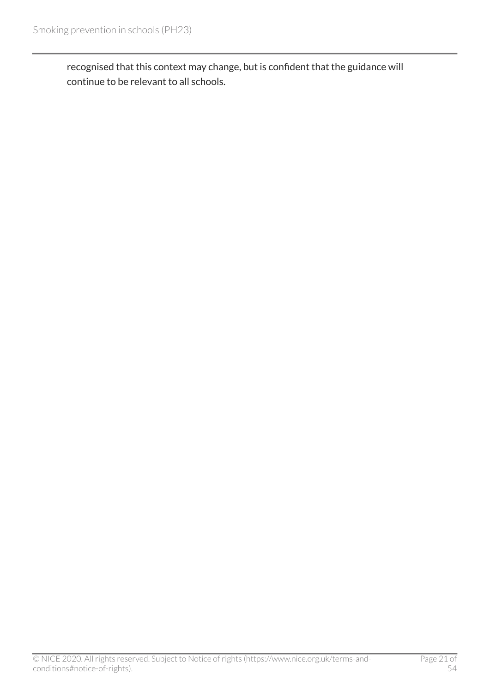recognised that this context may change, but is confident that the guidance will continue to be relevant to all schools.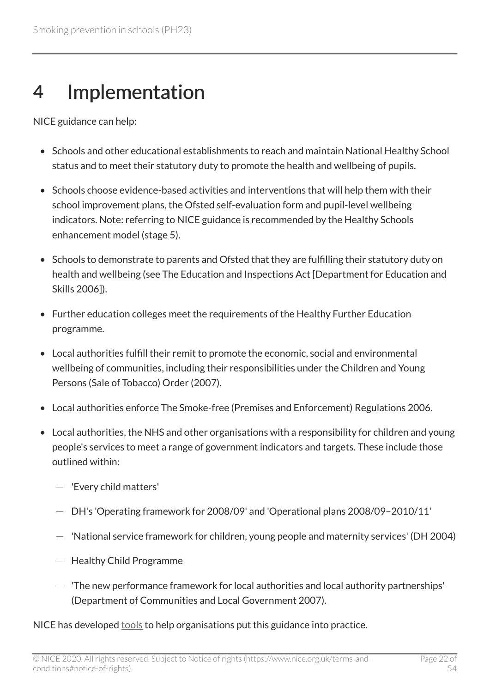# <span id="page-21-0"></span>4 Implementation

NICE guidance can help:

- Schools and other educational establishments to reach and maintain National Healthy School status and to meet their statutory duty to promote the health and wellbeing of pupils.
- Schools choose evidence-based activities and interventions that will help them with their school improvement plans, the Ofsted self-evaluation form and pupil-level wellbeing indicators. Note: referring to NICE guidance is recommended by the Healthy Schools enhancement model (stage 5).
- Schools to demonstrate to parents and Ofsted that they are fulfilling their statutory duty on health and wellbeing (see The Education and Inspections Act [Department for Education and Skills 2006]).
- Further education colleges meet the requirements of the Healthy Further Education programme.
- Local authorities fulfill their remit to promote the economic, social and environmental wellbeing of communities, including their responsibilities under the Children and Young Persons (Sale of Tobacco) Order (2007).
- Local authorities enforce The Smoke-free (Premises and Enforcement) Regulations 2006.
- Local authorities, the NHS and other organisations with a responsibility for children and young people's services to meet a range of government indicators and targets. These include those outlined within:
	- 'Every child matters'
	- DH's 'Operating framework for 2008/09' and 'Operational plans 2008/09–2010/11'
	- 'National service framework for children, young people and maternity services' (DH 2004)
	- Healthy Child Programme
	- $-$  The new performance framework for local authorities and local authority partnerships' (Department of Communities and Local Government 2007).

NICE has developed [tools](http://www.nice.org.uk/guidance/ph23) to help organisations put this guidance into practice.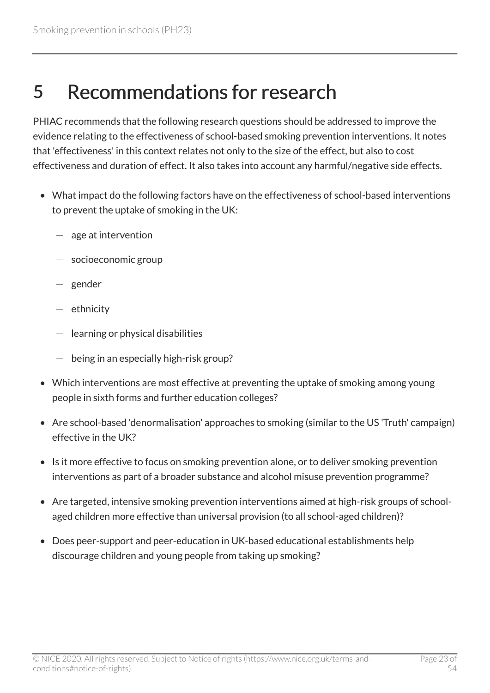# <span id="page-22-0"></span>5 Recommendations for research

PHIAC recommends that the following research questions should be addressed to improve the evidence relating to the effectiveness of school-based smoking prevention interventions. It notes that 'effectiveness' in this context relates not only to the size of the effect, but also to cost effectiveness and duration of effect. It also takes into account any harmful/negative side effects.

- What impact do the following factors have on the effectiveness of school-based interventions to prevent the uptake of smoking in the UK:
	- age at intervention
	- socioeconomic group
	- gender
	- ethnicity
	- learning or physical disabilities
	- being in an especially high-risk group?
- Which interventions are most effective at preventing the uptake of smoking among young people in sixth forms and further education colleges?
- Are school-based 'denormalisation' approaches to smoking (similar to the US 'Truth' campaign) effective in the UK?
- Is it more effective to focus on smoking prevention alone, or to deliver smoking prevention interventions as part of a broader substance and alcohol misuse prevention programme?
- Are targeted, intensive smoking prevention interventions aimed at high-risk groups of schoolaged children more effective than universal provision (to all school-aged children)?
- Does peer-support and peer-education in UK-based educational establishments help discourage children and young people from taking up smoking?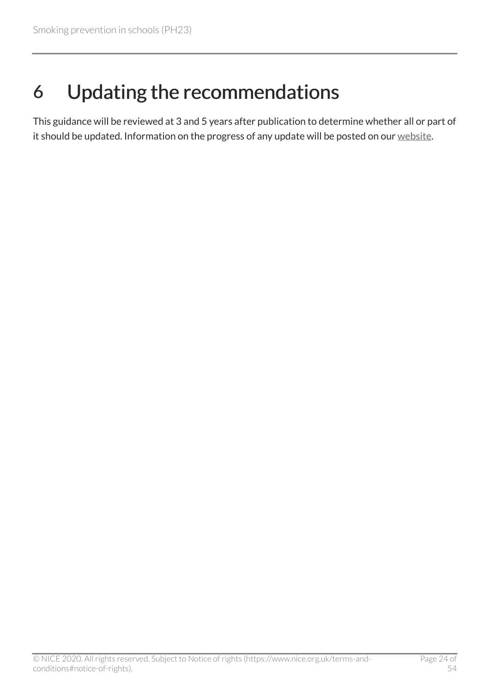# <span id="page-23-0"></span>6 Updating the recommendations

This guidance will be reviewed at 3 and 5 years after publication to determine whether all or part of it should be updated. Information on the progress of any update will be posted on our [website](http://www.nice.org.uk/guidance/ph23).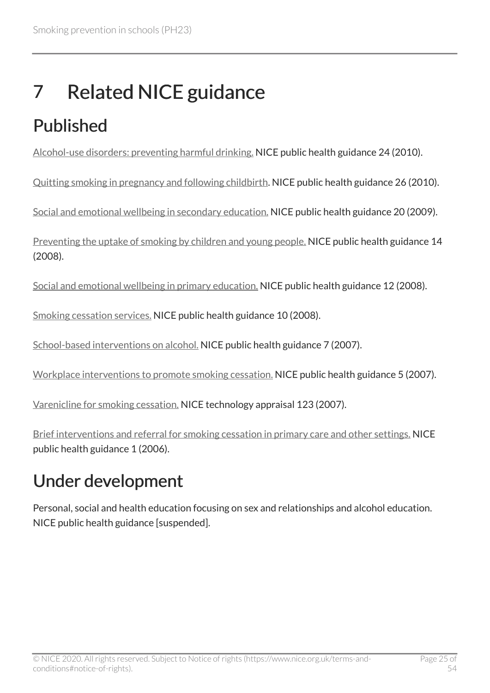# <span id="page-24-0"></span>7 Related NICE guidance

# <span id="page-24-1"></span>Published

[Alcohol-use disorders: preventing harmful drinking.](http://www.nice.org.uk/guidance/ph24) NICE public health guidance 24 (2010).

[Quitting smoking in pregnancy and following childbirth.](http://www.nice.org.uk/guidance/ph26) NICE public health guidance 26 (2010).

[Social and emotional wellbeing in secondary education.](http://www.nice.org.uk/guidance/ph20) NICE public health guidance 20 (2009).

[Preventing the uptake of smoking by children and young people.](http://www.nice.org.uk/guidance/ph14) NICE public health guidance 14 (2008).

[Social and emotional wellbeing in primary education.](http://www.nice.org.uk/guidance/ph12) NICE public health guidance 12 (2008).

[Smoking cessation services.](http://www.nice.org.uk/guidance/ph10) NICE public health guidance 10 (2008).

[School-based interventions on alcohol.](http://www.nice.org.uk/guidance/ph7) NICE public health guidance 7 (2007).

[Workplace interventions to promote smoking cessation.](http://www.nice.org.uk/guidance/ph5) NICE public health guidance 5 (2007).

[Varenicline for smoking cessation.](http://www.nice.org.uk/guidance/ta123) NICE technology appraisal 123 (2007).

[Brief interventions and referral for smoking cessation in primary care and other settings.](http://www.nice.org.uk/guidance/ph1) NICE public health guidance 1 (2006).

## <span id="page-24-2"></span>Under development

Personal, social and health education focusing on sex and relationships and alcohol education. NICE public health guidance [suspended].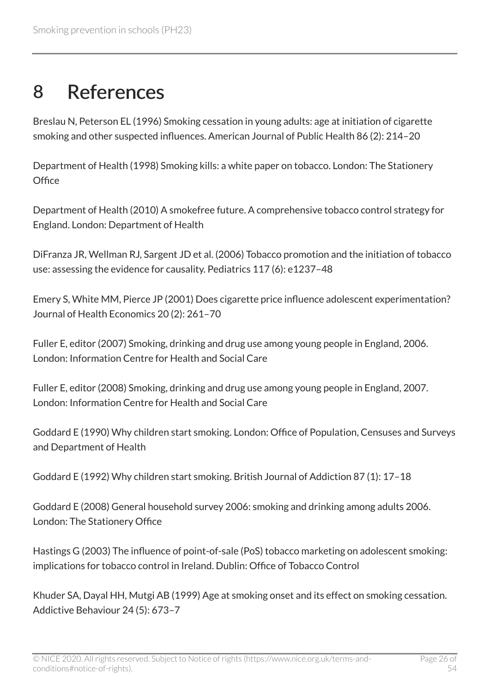## <span id="page-25-0"></span>8 References

Breslau N, Peterson EL (1996) Smoking cessation in young adults: age at initiation of cigarette smoking and other suspected influences. American Journal of Public Health 86 (2): 214–20

Department of Health (1998) Smoking kills: a white paper on tobacco. London: The Stationery **Office** 

Department of Health (2010) A smokefree future. A comprehensive tobacco control strategy for England. London: Department of Health

DiFranza JR, Wellman RJ, Sargent JD et al. (2006) Tobacco promotion and the initiation of tobacco use: assessing the evidence for causality. Pediatrics 117 (6): e1237–48

Emery S, White MM, Pierce JP (2001) Does cigarette price influence adolescent experimentation? Journal of Health Economics 20 (2): 261–70

Fuller E, editor (2007) Smoking, drinking and drug use among young people in England, 2006. London: Information Centre for Health and Social Care

Fuller E, editor (2008) Smoking, drinking and drug use among young people in England, 2007. London: Information Centre for Health and Social Care

Goddard E (1990) Why children start smoking. London: Office of Population, Censuses and Surveys and Department of Health

Goddard E (1992) Why children start smoking. British Journal of Addiction 87 (1): 17–18

Goddard E (2008) General household survey 2006: smoking and drinking among adults 2006. London: The Stationery Office

Hastings G (2003) The influence of point-of-sale (PoS) tobacco marketing on adolescent smoking: implications for tobacco control in Ireland. Dublin: Office of Tobacco Control

Khuder SA, Dayal HH, Mutgi AB (1999) Age at smoking onset and its effect on smoking cessation. Addictive Behaviour 24 (5): 673–7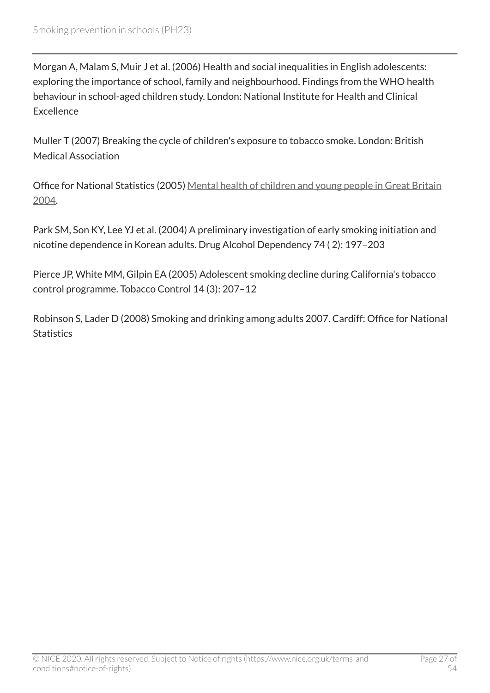Morgan A, Malam S, Muir J et al. (2006) Health and social inequalities in English adolescents: exploring the importance of school, family and neighbourhood. Findings from the WHO health behaviour in school-aged children study. London: National Institute for Health and Clinical **Excellence** 

Muller T (2007) Breaking the cycle of children's exposure to tobacco smoke. London: British Medical Association

Office for National Statistics (2005) [Mental health of children and young people in Great Britain](http://www.statistics.gov.uk/)  [2004.](http://www.statistics.gov.uk/)

Park SM, Son KY, Lee YJ et al. (2004) A preliminary investigation of early smoking initiation and nicotine dependence in Korean adults. Drug Alcohol Dependency 74 ( 2): 197–203

Pierce JP, White MM, Gilpin EA (2005) Adolescent smoking decline during California's tobacco control programme. Tobacco Control 14 (3): 207–12

Robinson S, Lader D (2008) Smoking and drinking among adults 2007. Cardiff: Office for National **Statistics**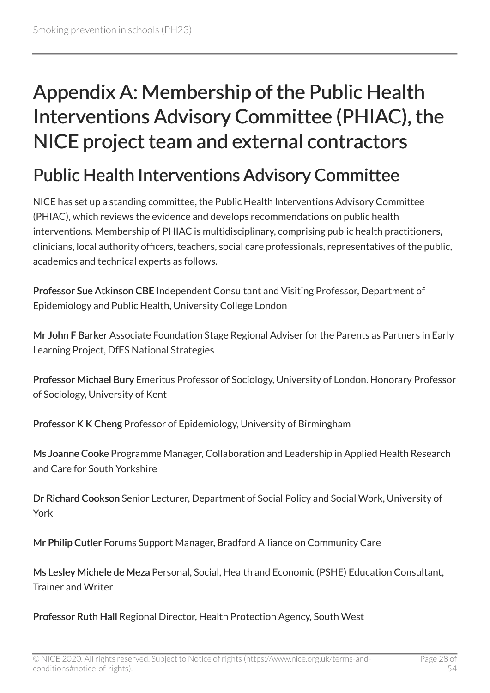# <span id="page-27-0"></span>Appendix A: Membership of the Public Health Interventions Advisory Committee (PHIAC), the NICE project team and external contractors

### <span id="page-27-1"></span>Public Health Interventions Advisory Committee

NICE has set up a standing committee, the Public Health Interventions Advisory Committee (PHIAC), which reviews the evidence and develops recommendations on public health interventions. Membership of PHIAC is multidisciplinary, comprising public health practitioners, clinicians, local authority officers, teachers, social care professionals, representatives of the public, academics and technical experts as follows.

Professor Sue Atkinson CBE Independent Consultant and Visiting Professor, Department of Epidemiology and Public Health, University College London

Mr John F Barker Associate Foundation Stage Regional Adviser for the Parents as Partners in Early Learning Project, DfES National Strategies

Professor Michael Bury Emeritus Professor of Sociology, University of London. Honorary Professor of Sociology, University of Kent

Professor K K Cheng Professor of Epidemiology, University of Birmingham

Ms Joanne Cooke Programme Manager, Collaboration and Leadership in Applied Health Research and Care for South Yorkshire

Dr Richard Cookson Senior Lecturer, Department of Social Policy and Social Work, University of York

Mr Philip Cutler Forums Support Manager, Bradford Alliance on Community Care

Ms Lesley Michele de Meza Personal, Social, Health and Economic (PSHE) Education Consultant, Trainer and Writer

Professor Ruth Hall Regional Director, Health Protection Agency, South West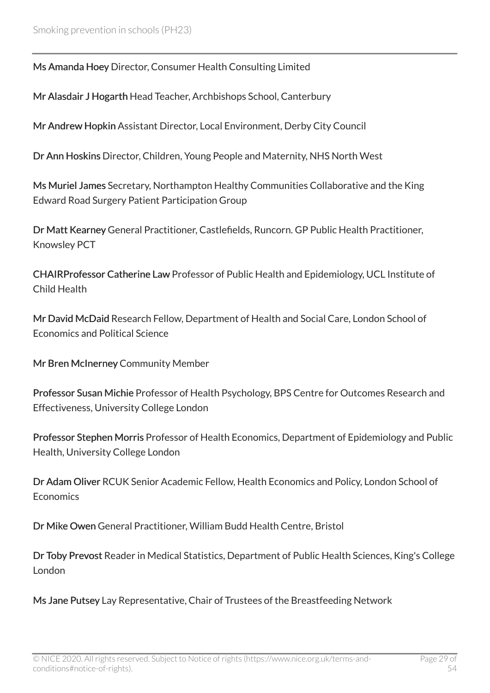Ms Amanda Hoey Director, Consumer Health Consulting Limited

Mr Alasdair J Hogarth Head Teacher, Archbishops School, Canterbury

Mr Andrew Hopkin Assistant Director, Local Environment, Derby City Council

Dr Ann Hoskins Director, Children, Young People and Maternity, NHS North West

Ms Muriel James Secretary, Northampton Healthy Communities Collaborative and the King Edward Road Surgery Patient Participation Group

Dr Matt Kearney General Practitioner, Castlefields, Runcorn. GP Public Health Practitioner, Knowsley PCT

CHAIRProfessor Catherine Law Professor of Public Health and Epidemiology, UCL Institute of Child Health

Mr David McDaid Research Fellow, Department of Health and Social Care, London School of Economics and Political Science

Mr Bren McInerney Community Member

Professor Susan Michie Professor of Health Psychology, BPS Centre for Outcomes Research and Effectiveness, University College London

Professor Stephen Morris Professor of Health Economics, Department of Epidemiology and Public Health, University College London

Dr Adam Oliver RCUK Senior Academic Fellow, Health Economics and Policy, London School of **Economics** 

Dr Mike Owen General Practitioner, William Budd Health Centre, Bristol

Dr Toby Prevost Reader in Medical Statistics, Department of Public Health Sciences, King's College London

Ms Jane Putsey Lay Representative, Chair of Trustees of the Breastfeeding Network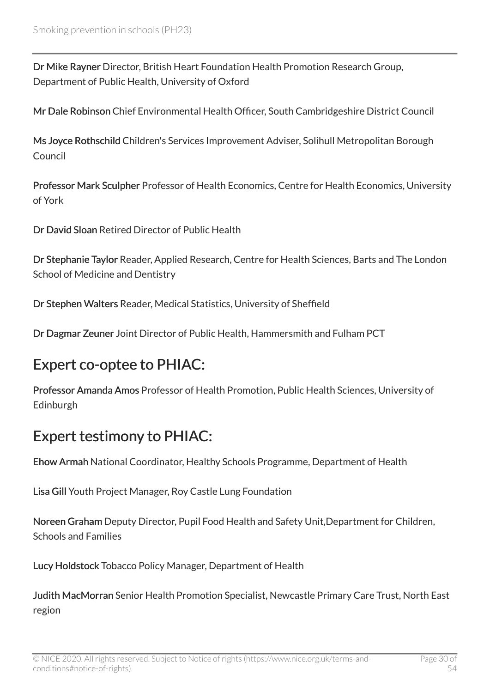Dr Mike Rayner Director, British Heart Foundation Health Promotion Research Group, Department of Public Health, University of Oxford

Mr Dale Robinson Chief Environmental Health Officer, South Cambridgeshire District Council

Ms Joyce Rothschild Children's Services Improvement Adviser, Solihull Metropolitan Borough Council

Professor Mark Sculpher Professor of Health Economics, Centre for Health Economics, University of York

Dr David Sloan Retired Director of Public Health

Dr Stephanie Taylor Reader, Applied Research, Centre for Health Sciences, Barts and The London School of Medicine and Dentistry

Dr Stephen Walters Reader, Medical Statistics, University of Sheffield

Dr Dagmar Zeuner Joint Director of Public Health, Hammersmith and Fulham PCT

#### Expert co-optee to PHIAC:

Professor Amanda Amos Professor of Health Promotion, Public Health Sciences, University of Edinburgh

#### Expert testimony to PHIAC:

Ehow Armah National Coordinator, Healthy Schools Programme, Department of Health

Lisa Gill Youth Project Manager, Roy Castle Lung Foundation

Noreen Graham Deputy Director, Pupil Food Health and Safety Unit,Department for Children, Schools and Families

Lucy Holdstock Tobacco Policy Manager, Department of Health

Judith MacMorran Senior Health Promotion Specialist, Newcastle Primary Care Trust, North East region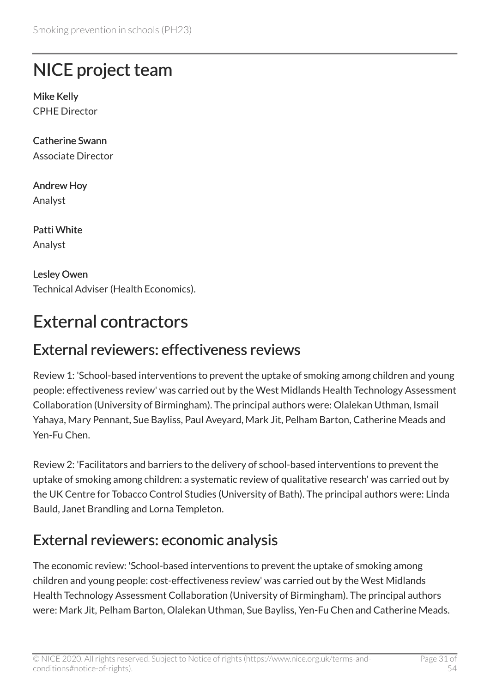### <span id="page-30-0"></span>NICE project team

Mike Kelly CPHE Director

Catherine Swann Associate Director

Andrew Hoy Analyst

Patti White Analyst

Lesley Owen Technical Adviser (Health Economics).

# <span id="page-30-1"></span>External contractors

#### External reviewers: effectiveness reviews

Review 1: 'School-based interventions to prevent the uptake of smoking among children and young people: effectiveness review' was carried out by the West Midlands Health Technology Assessment Collaboration (University of Birmingham). The principal authors were: Olalekan Uthman, Ismail Yahaya, Mary Pennant, Sue Bayliss, Paul Aveyard, Mark Jit, Pelham Barton, Catherine Meads and Yen-Fu Chen.

Review 2: 'Facilitators and barriers to the delivery of school-based interventions to prevent the uptake of smoking among children: a systematic review of qualitative research' was carried out by the UK Centre for Tobacco Control Studies (University of Bath). The principal authors were: Linda Bauld, Janet Brandling and Lorna Templeton.

#### External reviewers: economic analysis

The economic review: 'School-based interventions to prevent the uptake of smoking among children and young people: cost-effectiveness review' was carried out by the West Midlands Health Technology Assessment Collaboration (University of Birmingham). The principal authors were: Mark Jit, Pelham Barton, Olalekan Uthman, Sue Bayliss, Yen-Fu Chen and Catherine Meads.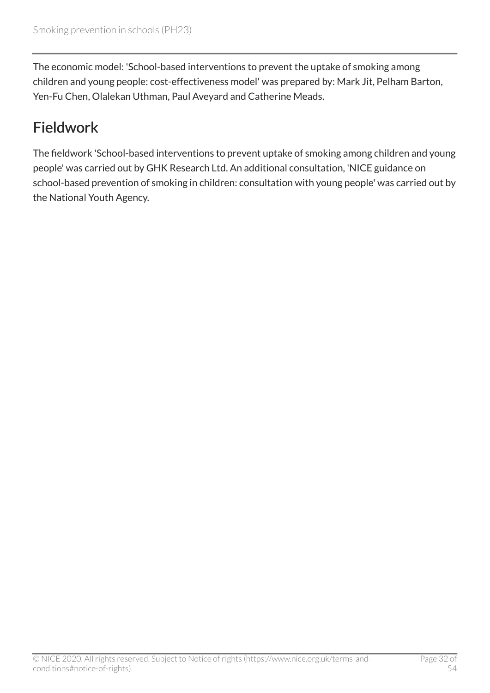The economic model: 'School-based interventions to prevent the uptake of smoking among children and young people: cost-effectiveness model' was prepared by: Mark Jit, Pelham Barton, Yen-Fu Chen, Olalekan Uthman, Paul Aveyard and Catherine Meads.

### Fieldwork

The fieldwork 'School-based interventions to prevent uptake of smoking among children and young people' was carried out by GHK Research Ltd. An additional consultation, 'NICE guidance on school-based prevention of smoking in children: consultation with young people' was carried out by the National Youth Agency.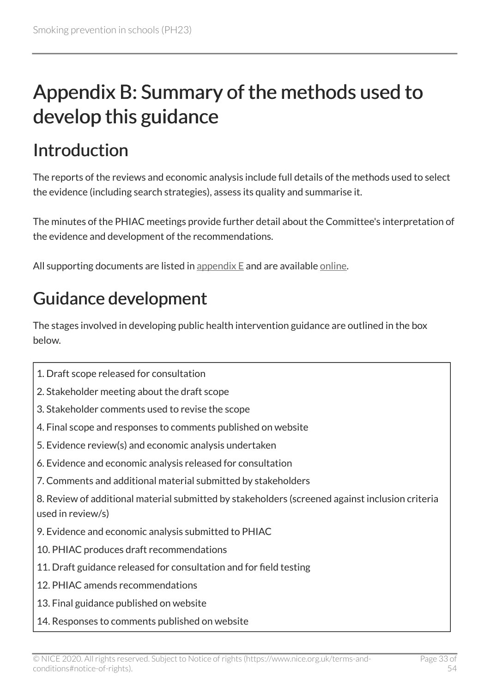# <span id="page-32-0"></span>Appendix B: Summary of the methods used to develop this guidance

# <span id="page-32-1"></span>Introduction

The reports of the reviews and economic analysis include full details of the methods used to select the evidence (including search strategies), assess its quality and summarise it.

The minutes of the PHIAC meetings provide further detail about the Committee's interpretation of the evidence and development of the recommendations.

All supporting documents are listed in appendix  $E$  and are available [online](http://www.nice.org.uk/guidance/ph23).

# <span id="page-32-2"></span>Guidance development

The stages involved in developing public health intervention guidance are outlined in the box below.

- 1. Draft scope released for consultation
- 2. Stakeholder meeting about the draft scope
- 3. Stakeholder comments used to revise the scope
- 4. Final scope and responses to comments published on website
- 5. Evidence review(s) and economic analysis undertaken
- 6. Evidence and economic analysis released for consultation
- 7. Comments and additional material submitted by stakeholders
- 8. Review of additional material submitted by stakeholders (screened against inclusion criteria used in review/s)
- 9. Evidence and economic analysis submitted to PHIAC
- 10. PHIAC produces draft recommendations
- 11. Draft guidance released for consultation and for field testing
- 12. PHIAC amends recommendations
- 13. Final guidance published on website
- 14. Responses to comments published on website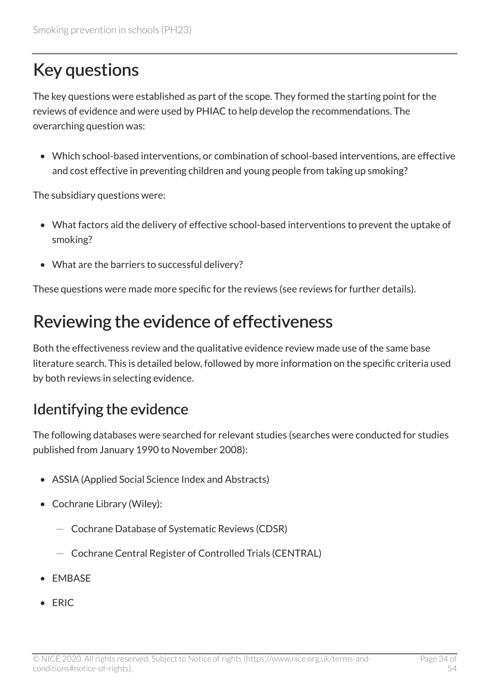## <span id="page-33-0"></span>Key questions

The key questions were established as part of the scope. They formed the starting point for the reviews of evidence and were used by PHIAC to help develop the recommendations. The overarching question was:

• Which school-based interventions, or combination of school-based interventions, are effective and cost effective in preventing children and young people from taking up smoking?

The subsidiary questions were:

- What factors aid the delivery of effective school-based interventions to prevent the uptake of smoking?
- What are the barriers to successful delivery?

These questions were made more specific for the reviews (see reviews for further details).

### <span id="page-33-1"></span>Reviewing the evidence of effectiveness

Both the effectiveness review and the qualitative evidence review made use of the same base literature search. This is detailed below, followed by more information on the specific criteria used by both reviews in selecting evidence.

#### Identifying the evidence

The following databases were searched for relevant studies (searches were conducted for studies published from January 1990 to November 2008):

- ASSIA (Applied Social Science Index and Abstracts)
- Cochrane Library (Wiley):
	- Cochrane Database of Systematic Reviews (CDSR)
	- Cochrane Central Register of Controlled Trials (CENTRAL)
- EMBASE
- ERIC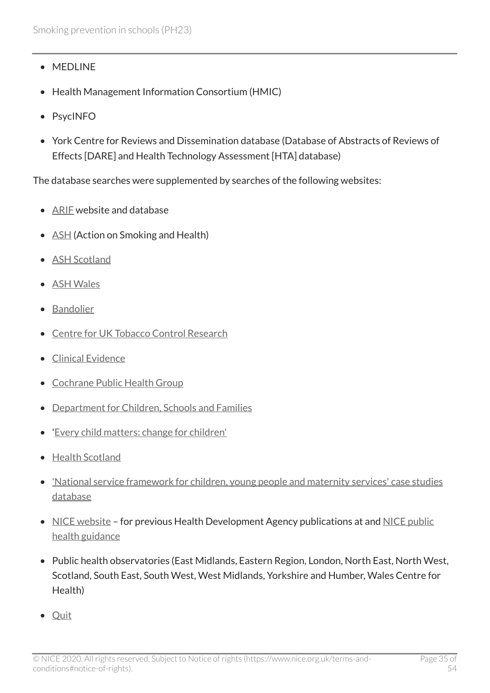- MEDLINE
- Health Management Information Consortium (HMIC)
- PsycINFO
- York Centre for Reviews and Dissemination database (Database of Abstracts of Reviews of Effects [DARE] and Health Technology Assessment [HTA] database)

The database searches were supplemented by searches of the following websites:

- ARIE website and database
- [ASH](http://www.ash.org.uk/) (Action on Smoking and Health)
- [ASH Scotland](http://www.ashscotland.org.uk/)
- [ASH Wales](http://www.ashwales.org.uk/)
- [Bandolier](http://www.medicine.ox.ac.uk/bandolier/index.html)
- [Centre for UK Tobacco Control Research](http://www.ctcr.stir.ac.uk/)
- [Clinical Evidence](http://clinicalevidence.bmj.com/ceweb/conditions/index.jsp)
- [Cochrane Public Health Group](http://www.ph.cochrane.org/en/index.html)
- [Department for Children, Schools and Families](http://www.dcsf.gov.uk/)
- '[Every child matters: change for children'](http://www.education.gov.uk/)
- [Health Scotland](http://www.healthscotland.com/)
- ['National service framework for children, young people and maternity services' case studies](http://www.dh.gov.uk/) [database](http://www.dh.gov.uk/)
- [NICE website](http://www.nice.org.uk/about/who-we-are/history-of-nice/health-development-agency) for previous Health Development Agency publications at and [NICE public](http://www.nice.org.uk/guidance) [health guidance](http://www.nice.org.uk/guidance)
- Public health observatories (East Midlands, Eastern Region, London, North East, North West, Scotland, South East, South West, West Midlands, Yorkshire and Humber, Wales Centre for Health)
- [Quit](http://www.quit.org.uk/)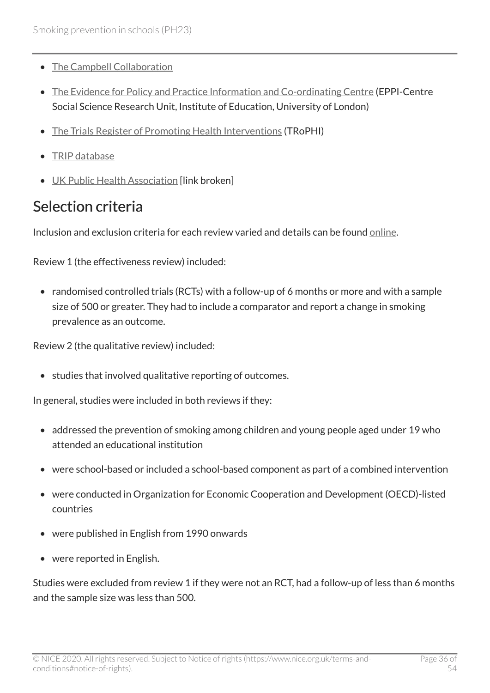- [The Campbell Collaboration](http://www.campbellcollaboration.org/)
- [The Evidence for Policy and Practice Information and Co-ordinating Centre](http://eppi.ioe.ac.uk/cms) (EPPI-Centre Social Science Research Unit, Institute of Education, University of London)
- [The Trials Register of Promoting Health Interventions](http://eppi.ioe.ac.uk/webdatabases/Intro.aspx?ID=5) (TRoPHI)
- [TRIP database](http://www.tripdatabase.com/index.html)
- [UK Public Health Association](http://www.ukpha.org.uk/) [link broken]

#### Selection criteria

Inclusion and exclusion criteria for each review varied and details can be found [online.](http://www.nice.org.uk/guidance/ph23)

Review 1 (the effectiveness review) included:

• randomised controlled trials (RCTs) with a follow-up of 6 months or more and with a sample size of 500 or greater. They had to include a comparator and report a change in smoking prevalence as an outcome.

Review 2 (the qualitative review) included:

• studies that involved qualitative reporting of outcomes.

In general, studies were included in both reviews if they:

- addressed the prevention of smoking among children and young people aged under 19 who attended an educational institution
- were school-based or included a school-based component as part of a combined intervention
- were conducted in Organization for Economic Cooperation and Development (OECD)-listed countries
- were published in English from 1990 onwards
- were reported in English.

Studies were excluded from review 1 if they were not an RCT, had a follow-up of less than 6 months and the sample size was less than 500.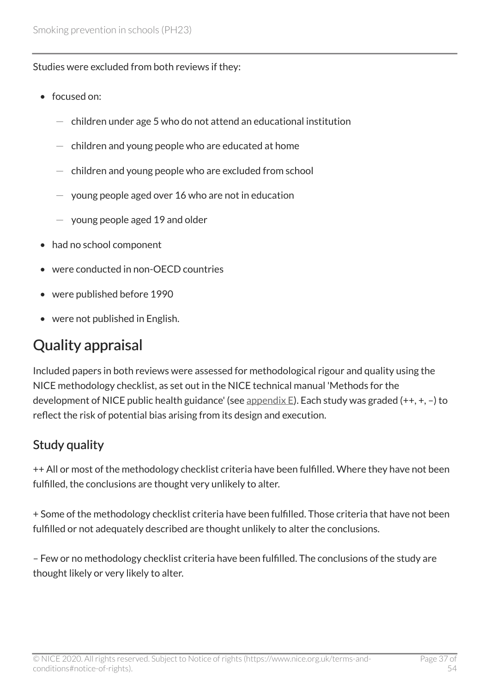Studies were excluded from both reviews if they:

- focused on:
	- children under age 5 who do not attend an educational institution
	- $-$  children and young people who are educated at home
	- children and young people who are excluded from school
	- $-$  young people aged over 16 who are not in education
	- $-$  young people aged 19 and older
- had no school component
- were conducted in non-OECD countries
- were published before 1990
- were not published in English.

### Quality appraisal

Included papers in both reviews were assessed for methodological rigour and quality using the NICE methodology checklist, as set out in the NICE technical manual 'Methods for the development of NICE public health guidance' (see [appendix E\)](http://www.nice.org.uk/guidance/ph23/chapter/appendix-e-supporting-documents). Each study was graded  $(++, +, -)$  to reflect the risk of potential bias arising from its design and execution.

#### Study quality

++ All or most of the methodology checklist criteria have been fulfilled. Where they have not been fulfilled, the conclusions are thought very unlikely to alter.

+ Some of the methodology checklist criteria have been fulfilled. Those criteria that have not been fulfilled or not adequately described are thought unlikely to alter the conclusions.

– Few or no methodology checklist criteria have been fulfilled. The conclusions of the study are thought likely or very likely to alter.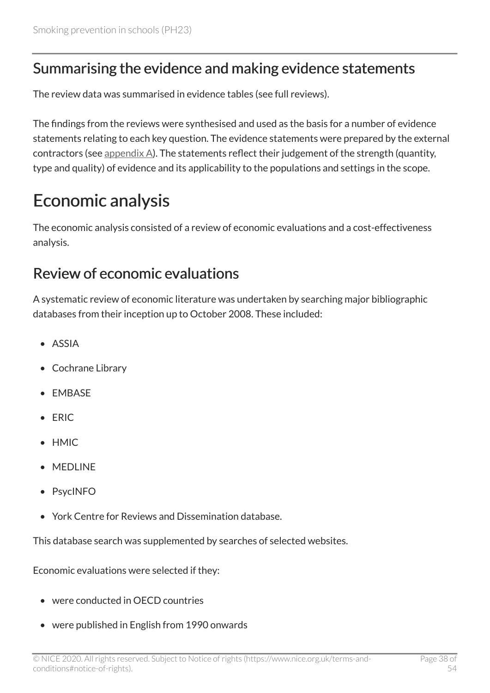#### Summarising the evidence and making evidence statements

The review data was summarised in evidence tables (see full reviews).

The findings from the reviews were synthesised and used as the basis for a number of evidence statements relating to each key question. The evidence statements were prepared by the external contractors (see appendix  $\Delta$ ). The statements reflect their judgement of the strength (quantity, type and quality) of evidence and its applicability to the populations and settings in the scope.

### <span id="page-37-0"></span>Economic analysis

The economic analysis consisted of a review of economic evaluations and a cost-effectiveness analysis.

#### Review of economic evaluations

A systematic review of economic literature was undertaken by searching major bibliographic databases from their inception up to October 2008. These included:

- ASSIA
- Cochrane Library
- EMBASE
- ERIC
- HMIC
- MEDLINE
- PsycINFO
- York Centre for Reviews and Dissemination database.

This database search was supplemented by searches of selected websites.

Economic evaluations were selected if they:

- were conducted in OECD countries
- were published in English from 1990 onwards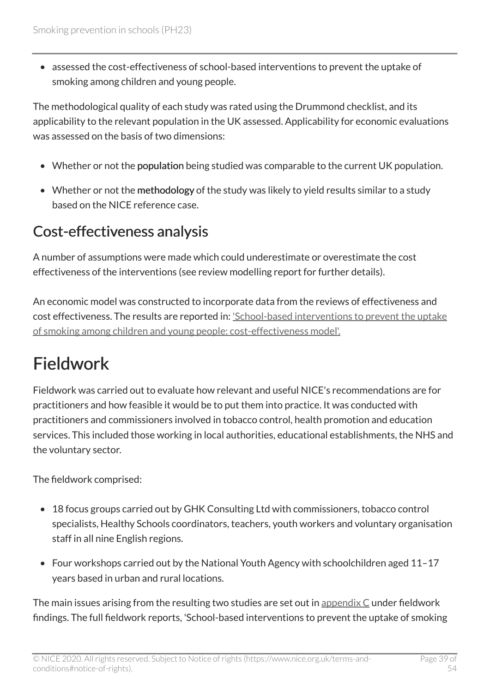• assessed the cost-effectiveness of school-based interventions to prevent the uptake of smoking among children and young people.

The methodological quality of each study was rated using the Drummond checklist, and its applicability to the relevant population in the UK assessed. Applicability for economic evaluations was assessed on the basis of two dimensions:

- Whether or not the population being studied was comparable to the current UK population.
- Whether or not the methodology of the study was likely to yield results similar to a study based on the NICE reference case.

### Cost-effectiveness analysis

A number of assumptions were made which could underestimate or overestimate the cost effectiveness of the interventions (see review modelling report for further details).

An economic model was constructed to incorporate data from the reviews of effectiveness and cost effectiveness. The results are reported in: ['School-based interventions to prevent the uptake](http://www.nice.org.uk/guidance/ph23) [of smoking among children and young people: cost-effectiveness model'.](http://www.nice.org.uk/guidance/ph23) 

# <span id="page-38-0"></span>Fieldwork

Fieldwork was carried out to evaluate how relevant and useful NICE's recommendations are for practitioners and how feasible it would be to put them into practice. It was conducted with practitioners and commissioners involved in tobacco control, health promotion and education services. This included those working in local authorities, educational establishments, the NHS and the voluntary sector.

The fieldwork comprised:

- 18 focus groups carried out by GHK Consulting Ltd with commissioners, tobacco control specialists, Healthy Schools coordinators, teachers, youth workers and voluntary organisation staff in all nine English regions.
- Four workshops carried out by the National Youth Agency with schoolchildren aged 11–17 years based in urban and rural locations.

The main issues arising from the resulting two studies are set out in appendix  $C$  under fieldwork findings. The full fieldwork reports, 'School-based interventions to prevent the uptake of smoking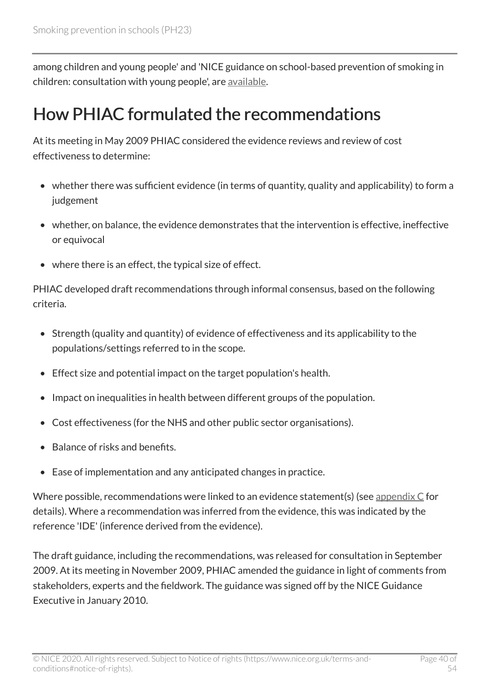among children and young people' and 'NICE guidance on school-based prevention of smoking in children: consultation with young people', are [available](http://www.nice.org.uk/guidance/ph23).

### <span id="page-39-0"></span>How PHIAC formulated the recommendations

At its meeting in May 2009 PHIAC considered the evidence reviews and review of cost effectiveness to determine:

- whether there was sufficient evidence (in terms of quantity, quality and applicability) to form a judgement
- whether, on balance, the evidence demonstrates that the intervention is effective, ineffective or equivocal
- where there is an effect, the typical size of effect.

PHIAC developed draft recommendations through informal consensus, based on the following criteria.

- Strength (quality and quantity) of evidence of effectiveness and its applicability to the populations/settings referred to in the scope.
- Effect size and potential impact on the target population's health.
- Impact on inequalities in health between different groups of the population.
- Cost effectiveness (for the NHS and other public sector organisations).
- Balance of risks and benefits.
- Ease of implementation and any anticipated changes in practice.

Where possible, recommendations were linked to an evidence statement(s) (see appendix  $C$  for details). Where a recommendation was inferred from the evidence, this was indicated by the reference 'IDE' (inference derived from the evidence).

The draft guidance, including the recommendations, was released for consultation in September 2009. At its meeting in November 2009, PHIAC amended the guidance in light of comments from stakeholders, experts and the fieldwork. The guidance was signed off by the NICE Guidance Executive in January 2010.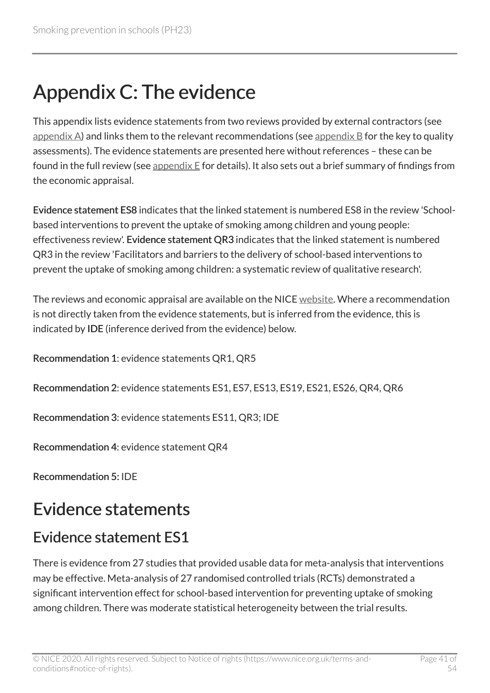# <span id="page-40-0"></span>Appendix C: The evidence

This appendix lists evidence statements from two reviews provided by external contractors (see appendix  $\Delta$ ) and links them to the relevant recommendations (see appendix  $\Delta$  for the key to quality assessments). The evidence statements are presented here without references – these can be found in the full review (see appendix  $E$  for details). It also sets out a brief summary of findings from the economic appraisal.

Evidence statement ES8 indicates that the linked statement is numbered ES8 in the review 'Schoolbased interventions to prevent the uptake of smoking among children and young people: effectiveness review'. Evidence statement QR3 indicates that the linked statement is numbered QR3 in the review 'Facilitators and barriers to the delivery of school-based interventions to prevent the uptake of smoking among children: a systematic review of qualitative research'.

The reviews and economic appraisal are available on the NICE [website](http://www.nice.org.uk/guidance/ph23). Where a recommendation is not directly taken from the evidence statements, but is inferred from the evidence, this is indicated by IDE (inference derived from the evidence) below.

Recommendation 1: evidence statements QR1, QR5

Recommendation 2: evidence statements ES1, ES7, ES13, ES19, ES21, ES26, QR4, QR6

Recommendation 3: evidence statements ES11, QR3; IDE

Recommendation 4: evidence statement QR4

Recommendation 5: IDE

### <span id="page-40-1"></span>Evidence statements

### Evidence statement ES1

There is evidence from 27 studies that provided usable data for meta-analysis that interventions may be effective. Meta-analysis of 27 randomised controlled trials (RCTs) demonstrated a significant intervention effect for school-based intervention for preventing uptake of smoking among children. There was moderate statistical heterogeneity between the trial results.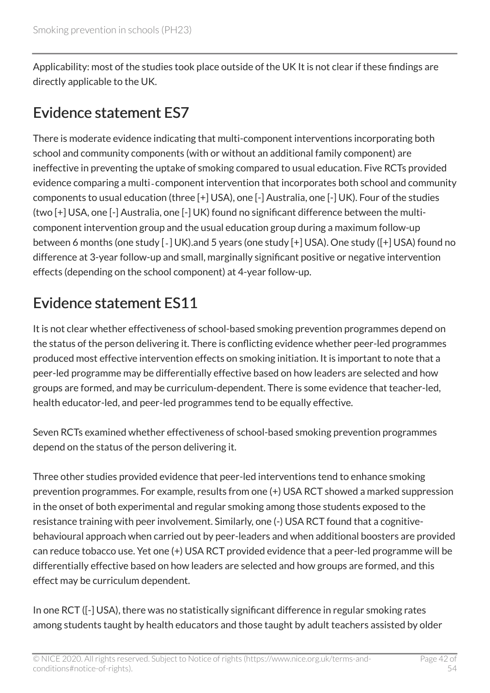Applicability: most of the studies took place outside of the UK It is not clear if these findings are directly applicable to the UK.

### Evidence statement ES7

There is moderate evidence indicating that multi-component interventions incorporating both school and community components (with or without an additional family component) are ineffective in preventing the uptake of smoking compared to usual education. Five RCTs provided evidence comparing a multi‐component intervention that incorporates both school and community components to usual education (three [+] USA), one [-] Australia, one [-] UK). Four of the studies (two [+] USA, one [-] Australia, one [-] UK) found no significant difference between the multicomponent intervention group and the usual education group during a maximum follow-up between 6 months (one study [‐] UK).and 5 years (one study [+] USA). One study ([+] USA) found no difference at 3-year follow-up and small, marginally significant positive or negative intervention effects (depending on the school component) at 4-year follow-up.

### Evidence statement ES11

It is not clear whether effectiveness of school-based smoking prevention programmes depend on the status of the person delivering it. There is conflicting evidence whether peer-led programmes produced most effective intervention effects on smoking initiation. It is important to note that a peer-led programme may be differentially effective based on how leaders are selected and how groups are formed, and may be curriculum-dependent. There is some evidence that teacher-led, health educator-led, and peer-led programmes tend to be equally effective.

Seven RCTs examined whether effectiveness of school-based smoking prevention programmes depend on the status of the person delivering it.

Three other studies provided evidence that peer-led interventions tend to enhance smoking prevention programmes. For example, results from one (+) USA RCT showed a marked suppression in the onset of both experimental and regular smoking among those students exposed to the resistance training with peer involvement. Similarly, one (-) USA RCT found that a cognitivebehavioural approach when carried out by peer-leaders and when additional boosters are provided can reduce tobacco use. Yet one (+) USA RCT provided evidence that a peer-led programme will be differentially effective based on how leaders are selected and how groups are formed, and this effect may be curriculum dependent.

In one RCT ([-] USA), there was no statistically significant difference in regular smoking rates among students taught by health educators and those taught by adult teachers assisted by older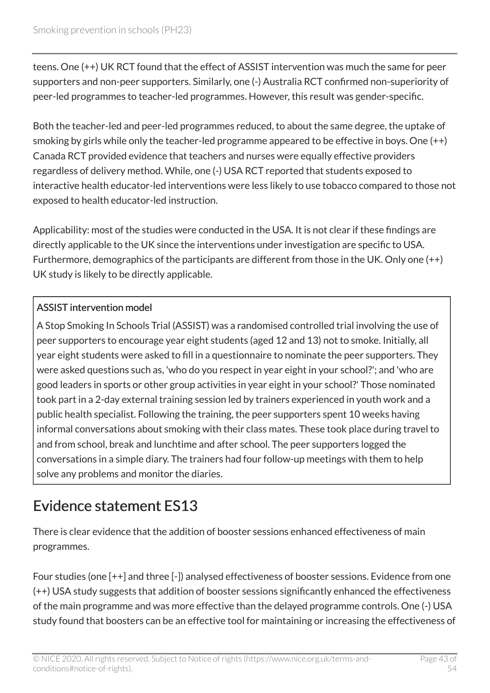teens. One (++) UK RCT found that the effect of ASSIST intervention was much the same for peer supporters and non-peer supporters. Similarly, one (-) Australia RCT confirmed non-superiority of peer-led programmes to teacher-led programmes. However, this result was gender-specific.

Both the teacher-led and peer-led programmes reduced, to about the same degree, the uptake of smoking by girls while only the teacher-led programme appeared to be effective in boys. One (++) Canada RCT provided evidence that teachers and nurses were equally effective providers regardless of delivery method. While, one (-) USA RCT reported that students exposed to interactive health educator-led interventions were less likely to use tobacco compared to those not exposed to health educator-led instruction.

Applicability: most of the studies were conducted in the USA. It is not clear if these findings are directly applicable to the UK since the interventions under investigation are specific to USA. Furthermore, demographics of the participants are different from those in the UK. Only one (++) UK study is likely to be directly applicable.

#### ASSIST intervention model

A Stop Smoking In Schools Trial (ASSIST) was a randomised controlled trial involving the use of peer supporters to encourage year eight students (aged 12 and 13) not to smoke. Initially, all year eight students were asked to fill in a questionnaire to nominate the peer supporters. They were asked questions such as, 'who do you respect in year eight in your school?'; and 'who are good leaders in sports or other group activities in year eight in your school?' Those nominated took part in a 2-day external training session led by trainers experienced in youth work and a public health specialist. Following the training, the peer supporters spent 10 weeks having informal conversations about smoking with their class mates. These took place during travel to and from school, break and lunchtime and after school. The peer supporters logged the conversations in a simple diary. The trainers had four follow-up meetings with them to help solve any problems and monitor the diaries.

#### Evidence statement ES13

There is clear evidence that the addition of booster sessions enhanced effectiveness of main programmes.

Four studies (one [++] and three [-]) analysed effectiveness of booster sessions. Evidence from one (++) USA study suggests that addition of booster sessions significantly enhanced the effectiveness of the main programme and was more effective than the delayed programme controls. One (-) USA study found that boosters can be an effective tool for maintaining or increasing the effectiveness of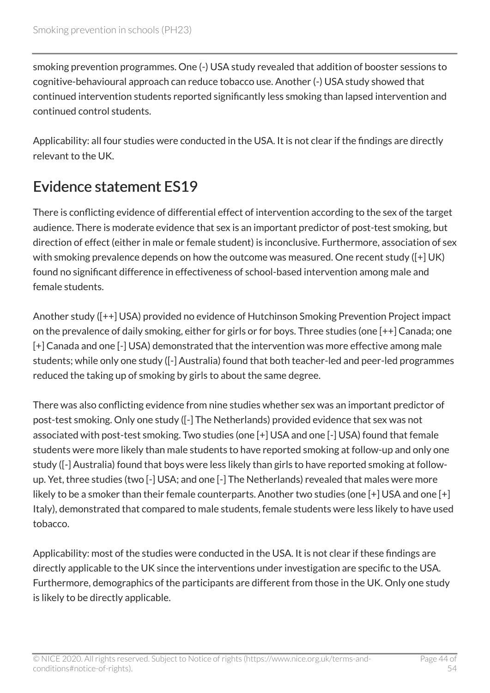smoking prevention programmes. One (-) USA study revealed that addition of booster sessions to cognitive-behavioural approach can reduce tobacco use. Another (-) USA study showed that continued intervention students reported significantly less smoking than lapsed intervention and continued control students.

Applicability: all four studies were conducted in the USA. It is not clear if the findings are directly relevant to the UK.

### Evidence statement ES19

There is conflicting evidence of differential effect of intervention according to the sex of the target audience. There is moderate evidence that sex is an important predictor of post-test smoking, but direction of effect (either in male or female student) is inconclusive. Furthermore, association of sex with smoking prevalence depends on how the outcome was measured. One recent study ([+] UK) found no significant difference in effectiveness of school-based intervention among male and female students.

Another study ([++] USA) provided no evidence of Hutchinson Smoking Prevention Project impact on the prevalence of daily smoking, either for girls or for boys. Three studies (one [++] Canada; one [+] Canada and one [-] USA) demonstrated that the intervention was more effective among male students; while only one study ([-] Australia) found that both teacher-led and peer-led programmes reduced the taking up of smoking by girls to about the same degree.

There was also conflicting evidence from nine studies whether sex was an important predictor of post-test smoking. Only one study ([-] The Netherlands) provided evidence that sex was not associated with post-test smoking. Two studies (one [+] USA and one [-] USA) found that female students were more likely than male students to have reported smoking at follow-up and only one study ([-] Australia) found that boys were less likely than girls to have reported smoking at followup. Yet, three studies (two [-] USA; and one [-] The Netherlands) revealed that males were more likely to be a smoker than their female counterparts. Another two studies (one [+] USA and one [+] Italy), demonstrated that compared to male students, female students were less likely to have used tobacco.

Applicability: most of the studies were conducted in the USA. It is not clear if these findings are directly applicable to the UK since the interventions under investigation are specific to the USA. Furthermore, demographics of the participants are different from those in the UK. Only one study is likely to be directly applicable.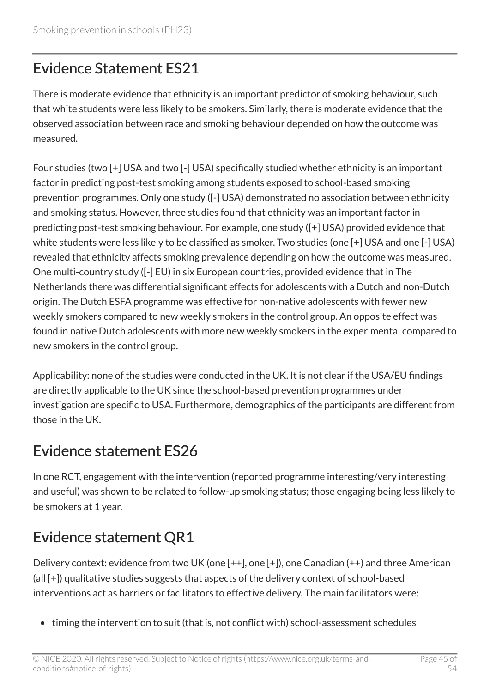### Evidence Statement ES21

There is moderate evidence that ethnicity is an important predictor of smoking behaviour, such that white students were less likely to be smokers. Similarly, there is moderate evidence that the observed association between race and smoking behaviour depended on how the outcome was measured.

Four studies (two [+] USA and two [-] USA) specifically studied whether ethnicity is an important factor in predicting post-test smoking among students exposed to school-based smoking prevention programmes. Only one study ([-] USA) demonstrated no association between ethnicity and smoking status. However, three studies found that ethnicity was an important factor in predicting post-test smoking behaviour. For example, one study ([+] USA) provided evidence that white students were less likely to be classified as smoker. Two studies (one [+] USA and one [-] USA) revealed that ethnicity affects smoking prevalence depending on how the outcome was measured. One multi-country study ([-] EU) in six European countries, provided evidence that in The Netherlands there was differential significant effects for adolescents with a Dutch and non-Dutch origin. The Dutch ESFA programme was effective for non-native adolescents with fewer new weekly smokers compared to new weekly smokers in the control group. An opposite effect was found in native Dutch adolescents with more new weekly smokers in the experimental compared to new smokers in the control group.

Applicability: none of the studies were conducted in the UK. It is not clear if the USA/EU findings are directly applicable to the UK since the school-based prevention programmes under investigation are specific to USA. Furthermore, demographics of the participants are different from those in the UK.

#### Evidence statement ES26

In one RCT, engagement with the intervention (reported programme interesting/very interesting and useful) was shown to be related to follow-up smoking status; those engaging being less likely to be smokers at 1 year.

### Evidence statement QR1

Delivery context: evidence from two UK (one [++], one [+]), one Canadian (++) and three American (all [+]) qualitative studies suggests that aspects of the delivery context of school-based interventions act as barriers or facilitators to effective delivery. The main facilitators were:

• timing the intervention to suit (that is, not conflict with) school-assessment schedules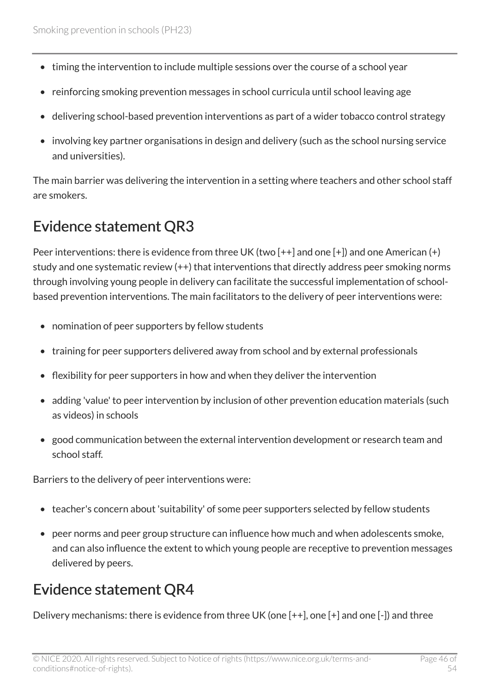- timing the intervention to include multiple sessions over the course of a school year
- reinforcing smoking prevention messages in school curricula until school leaving age
- delivering school-based prevention interventions as part of a wider tobacco control strategy
- involving key partner organisations in design and delivery (such as the school nursing service and universities).

The main barrier was delivering the intervention in a setting where teachers and other school staff are smokers.

### Evidence statement QR3

Peer interventions: there is evidence from three UK (two [++] and one [+]) and one American (+) study and one systematic review (++) that interventions that directly address peer smoking norms through involving young people in delivery can facilitate the successful implementation of schoolbased prevention interventions. The main facilitators to the delivery of peer interventions were:

- nomination of peer supporters by fellow students
- training for peer supporters delivered away from school and by external professionals
- flexibility for peer supporters in how and when they deliver the intervention
- adding 'value' to peer intervention by inclusion of other prevention education materials (such as videos) in schools
- good communication between the external intervention development or research team and school staff.

Barriers to the delivery of peer interventions were:

- teacher's concern about 'suitability' of some peer supporters selected by fellow students
- peer norms and peer group structure can influence how much and when adolescents smoke, and can also influence the extent to which young people are receptive to prevention messages delivered by peers.

### Evidence statement QR4

Delivery mechanisms: there is evidence from three UK (one [++], one [+] and one [-]) and three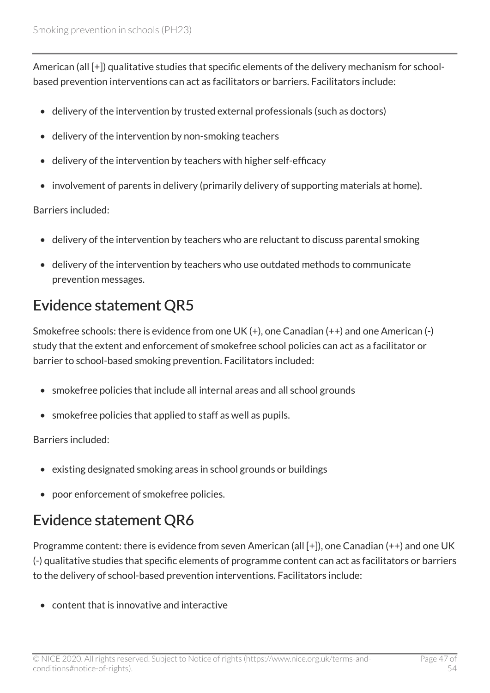American (all [+]) qualitative studies that specific elements of the delivery mechanism for schoolbased prevention interventions can act as facilitators or barriers. Facilitators include:

- delivery of the intervention by trusted external professionals (such as doctors)
- delivery of the intervention by non-smoking teachers
- delivery of the intervention by teachers with higher self-efficacy
- involvement of parents in delivery (primarily delivery of supporting materials at home).

Barriers included:

- delivery of the intervention by teachers who are reluctant to discuss parental smoking
- delivery of the intervention by teachers who use outdated methods to communicate prevention messages.

### Evidence statement QR5

Smokefree schools: there is evidence from one UK (+), one Canadian (++) and one American (-) study that the extent and enforcement of smokefree school policies can act as a facilitator or barrier to school-based smoking prevention. Facilitators included:

- smokefree policies that include all internal areas and all school grounds
- smokefree policies that applied to staff as well as pupils.

Barriers included:

- existing designated smoking areas in school grounds or buildings
- poor enforcement of smokefree policies.

### Evidence statement QR6

Programme content: there is evidence from seven American (all [+]), one Canadian (++) and one UK (-) qualitative studies that specific elements of programme content can act as facilitators or barriers to the delivery of school-based prevention interventions. Facilitators include:

• content that is innovative and interactive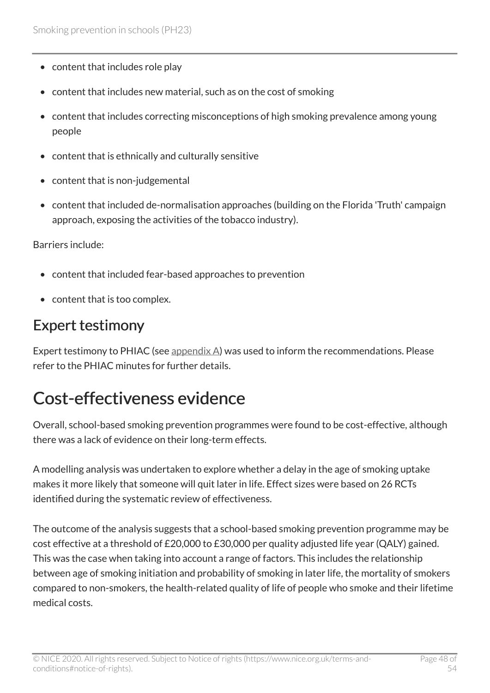- content that includes role play
- content that includes new material, such as on the cost of smoking
- content that includes correcting misconceptions of high smoking prevalence among young people
- content that is ethnically and culturally sensitive
- content that is non-judgemental
- content that included de-normalisation approaches (building on the Florida 'Truth' campaign approach, exposing the activities of the tobacco industry).

Barriers include:

- content that included fear-based approaches to prevention
- content that is too complex.

#### Expert testimony

Expert testimony to PHIAC (see appendix  $\Delta$ ) was used to inform the recommendations. Please refer to the PHIAC minutes for further details.

### <span id="page-47-0"></span>Cost-effectiveness evidence

Overall, school-based smoking prevention programmes were found to be cost-effective, although there was a lack of evidence on their long-term effects.

A modelling analysis was undertaken to explore whether a delay in the age of smoking uptake makes it more likely that someone will quit later in life. Effect sizes were based on 26 RCTs identified during the systematic review of effectiveness.

The outcome of the analysis suggests that a school-based smoking prevention programme may be cost effective at a threshold of £20,000 to £30,000 per quality adjusted life year (QALY) gained. This was the case when taking into account a range of factors. This includes the relationship between age of smoking initiation and probability of smoking in later life, the mortality of smokers compared to non-smokers, the health-related quality of life of people who smoke and their lifetime medical costs.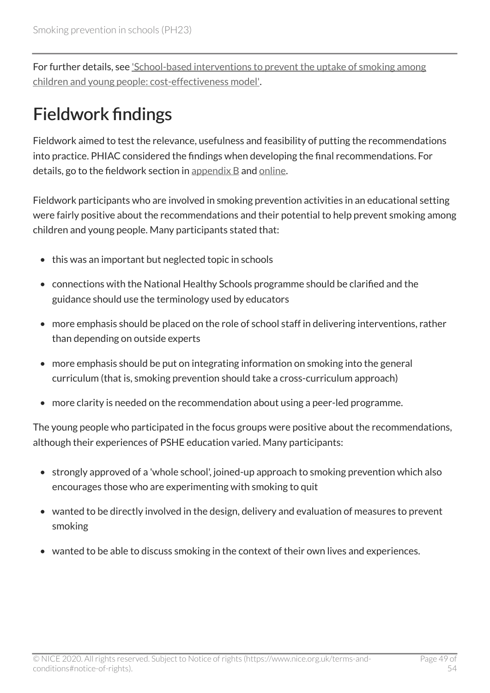For further details, see ['School-based interventions to prevent the uptake of smoking among](http://www.nice.org.uk/guidance/ph23)  [children and young people: cost-effectiveness model'.](http://www.nice.org.uk/guidance/ph23)

# <span id="page-48-0"></span>Fieldwork findings

Fieldwork aimed to test the relevance, usefulness and feasibility of putting the recommendations into practice. PHIAC considered the findings when developing the final recommendations. For details, go to the fieldwork section in appendix  $B$  and [online](http://www.nice.org.uk/guidance/ph23).

Fieldwork participants who are involved in smoking prevention activities in an educational setting were fairly positive about the recommendations and their potential to help prevent smoking among children and young people. Many participants stated that:

- this was an important but neglected topic in schools
- connections with the National Healthy Schools programme should be clarified and the guidance should use the terminology used by educators
- more emphasis should be placed on the role of school staff in delivering interventions, rather than depending on outside experts
- more emphasis should be put on integrating information on smoking into the general curriculum (that is, smoking prevention should take a cross-curriculum approach)
- more clarity is needed on the recommendation about using a peer-led programme.

The young people who participated in the focus groups were positive about the recommendations, although their experiences of PSHE education varied. Many participants:

- strongly approved of a 'whole school', joined-up approach to smoking prevention which also encourages those who are experimenting with smoking to quit
- wanted to be directly involved in the design, delivery and evaluation of measures to prevent smoking
- wanted to be able to discuss smoking in the context of their own lives and experiences.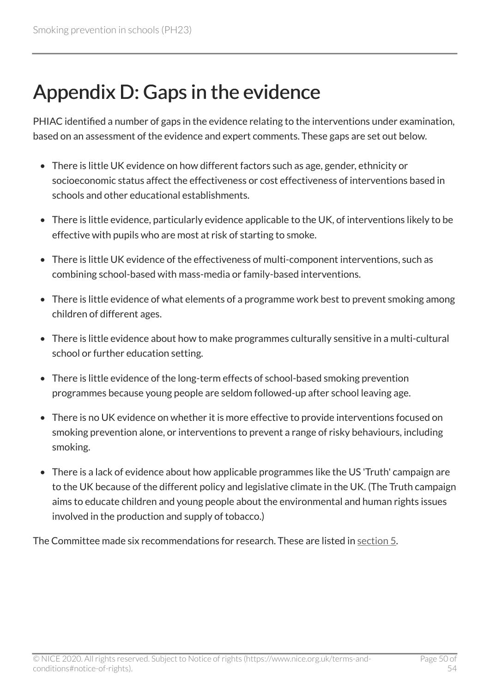# <span id="page-49-0"></span>Appendix D: Gaps in the evidence

PHIAC identified a number of gaps in the evidence relating to the interventions under examination, based on an assessment of the evidence and expert comments. These gaps are set out below.

- There is little UK evidence on how different factors such as age, gender, ethnicity or socioeconomic status affect the effectiveness or cost effectiveness of interventions based in schools and other educational establishments.
- There is little evidence, particularly evidence applicable to the UK, of interventions likely to be effective with pupils who are most at risk of starting to smoke.
- There is little UK evidence of the effectiveness of multi-component interventions, such as combining school-based with mass-media or family-based interventions.
- There is little evidence of what elements of a programme work best to prevent smoking among children of different ages.
- There is little evidence about how to make programmes culturally sensitive in a multi-cultural school or further education setting.
- There is little evidence of the long-term effects of school-based smoking prevention programmes because young people are seldom followed-up after school leaving age.
- There is no UK evidence on whether it is more effective to provide interventions focused on smoking prevention alone, or interventions to prevent a range of risky behaviours, including smoking.
- There is a lack of evidence about how applicable programmes like the US 'Truth' campaign are to the UK because of the different policy and legislative climate in the UK. (The Truth campaign aims to educate children and young people about the environmental and human rights issues involved in the production and supply of tobacco.)

The Committee made six recommendations for research. These are listed in [section 5](http://www.nice.org.uk/guidance/ph23/chapter/recommendations-for-research).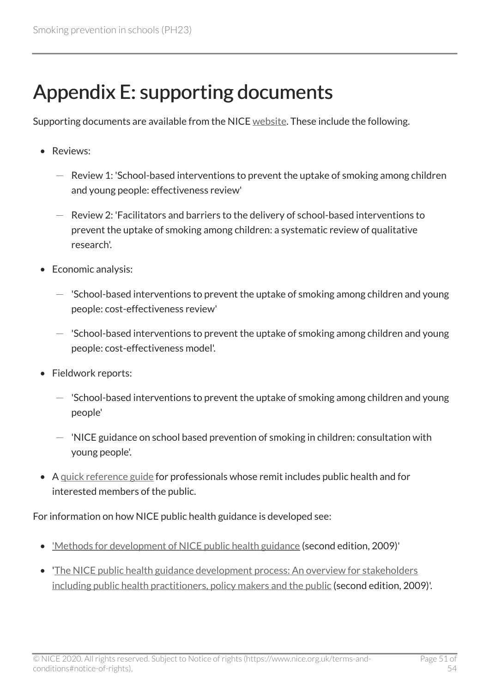# <span id="page-50-0"></span>Appendix E: supporting documents

Supporting documents are available from the NICE [website](http://www.nice.org.uk/guidance/ph23/evidence). These include the following.

- Reviews:
	- $-$  Review 1: 'School-based interventions to prevent the uptake of smoking among children and young people: effectiveness review'
	- Review 2: 'Facilitators and barriers to the delivery of school-based interventions to prevent the uptake of smoking among children: a systematic review of qualitative research'.
- Economic analysis:
	- $-$  'School-based interventions to prevent the uptake of smoking among children and young people: cost-effectiveness review'
	- $-$  'School-based interventions to prevent the uptake of smoking among children and young people: cost-effectiveness model'.
- Fieldwork reports:
	- $-$  'School-based interventions to prevent the uptake of smoking among children and young people'
	- $-$  'NICE guidance on school based prevention of smoking in children: consultation with young people'.
- A [quick reference guide](http://www.nice.org.uk/guidance/ph23) for professionals whose remit includes public health and for interested members of the public.

For information on how NICE public health guidance is developed see:

- ['Methods for development of NICE public health guidance](http://www.nice.org.uk/proxy/?sourceUrl=http%3a%2f%2fwww.nice.org.uk%2fphmethods%3fdomedia%3d1%26mid%3dF6A97CF4-19B9-E0B5-D42B4018AE84DD51) (second edition, 2009)'
- '[The NICE public health guidance development process: An overview for stakeholders](http://www.nice.org.uk/proxy/?sourceUrl=http%3a%2f%2fwww.nice.org.uk%2fphmethods%3fdomedia%3d1%26mid%3d69EF40C5-19B9-E0B5-D458BAACDAD99C6B)  [including public health practitioners, policy makers and the public](http://www.nice.org.uk/proxy/?sourceUrl=http%3a%2f%2fwww.nice.org.uk%2fphmethods%3fdomedia%3d1%26mid%3d69EF40C5-19B9-E0B5-D458BAACDAD99C6B) (second edition, 2009)'.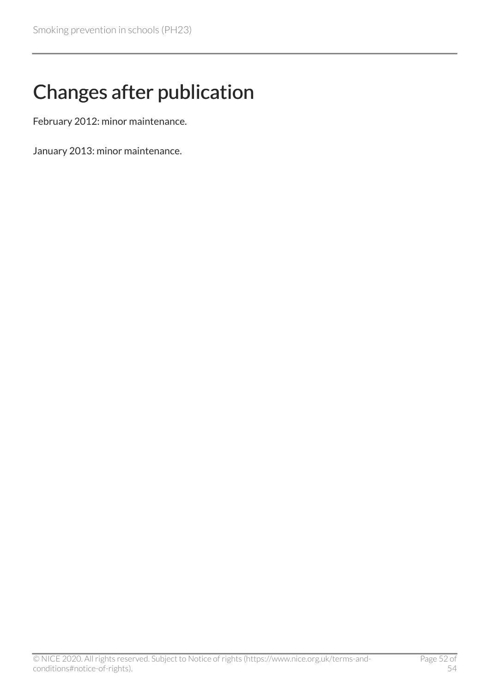# <span id="page-51-0"></span>Changes after publication

February 2012: minor maintenance.

January 2013: minor maintenance.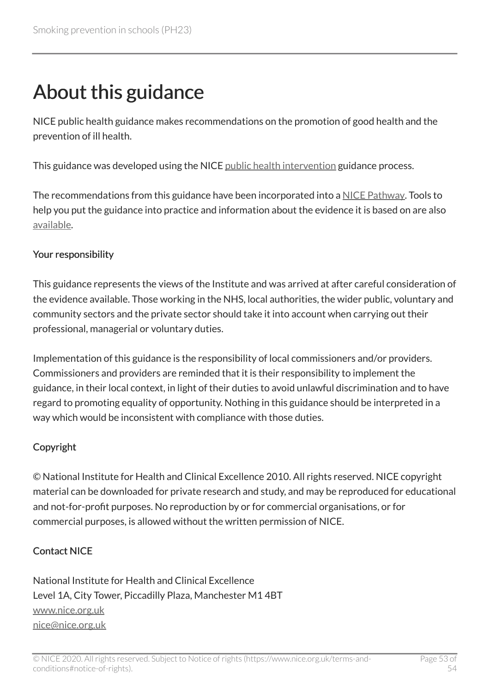# <span id="page-52-0"></span>About this guidance

NICE public health guidance makes recommendations on the promotion of good health and the prevention of ill health.

This guidance was developed using the NICE [public health intervention](http://www.nice.org.uk/about/what-we-do/our-programmes/nice-guidance/nice-guidelines/nice-public-health-guidelines) guidance process.

The recommendations from this guidance have been incorporated into a [NICE Pathway.](http://pathways.nice.org.uk/pathways/smoking) Tools to help you put the guidance into practice and information about the evidence it is based on are also [available](http://www.nice.org.uk/guidance/ph23).

#### Your responsibility

This guidance represents the views of the Institute and was arrived at after careful consideration of the evidence available. Those working in the NHS, local authorities, the wider public, voluntary and community sectors and the private sector should take it into account when carrying out their professional, managerial or voluntary duties.

Implementation of this guidance is the responsibility of local commissioners and/or providers. Commissioners and providers are reminded that it is their responsibility to implement the guidance, in their local context, in light of their duties to avoid unlawful discrimination and to have regard to promoting equality of opportunity. Nothing in this guidance should be interpreted in a way which would be inconsistent with compliance with those duties.

#### Copyright

© National Institute for Health and Clinical Excellence 2010. All rights reserved. NICE copyright material can be downloaded for private research and study, and may be reproduced for educational and not-for-profit purposes. No reproduction by or for commercial organisations, or for commercial purposes, is allowed without the written permission of NICE.

#### Contact NICE

National Institute for Health and Clinical Excellence Level 1A, City Tower, Piccadilly Plaza, Manchester M1 4BT [www.nice.org.uk](http://www.nice.org.uk/) [nice@nice.org.uk](mailto:nice@nice.org.uk)